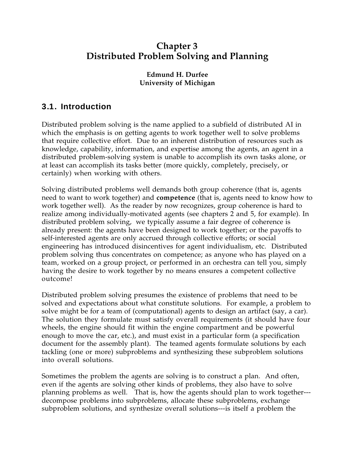# **Chapter 3 Distributed Problem Solving and Planning**

#### **Edmund H. Durfee University of Michigan**

## **3.1. Introduction**

Distributed problem solving is the name applied to a subfield of distributed AI in which the emphasis is on getting agents to work together well to solve problems that require collective effort. Due to an inherent distribution of resources such as knowledge, capability, information, and expertise among the agents, an agent in a distributed problem-solving system is unable to accomplish its own tasks alone, or at least can accomplish its tasks better (more quickly, completely, precisely, or certainly) when working with others.

Solving distributed problems well demands both group coherence (that is, agents need to want to work together) and **competence** (that is, agents need to know how to work together well). As the reader by now recognizes, group coherence is hard to realize among individually-motivated agents (see chapters 2 and 5, for example). In distributed problem solving, we typically assume a fair degree of coherence is already present: the agents have been designed to work together; or the payoffs to self-interested agents are only accrued through collective efforts; or social engineering has introduced disincentives for agent individualism, etc. Distributed problem solving thus concentrates on competence; as anyone who has played on a team, worked on a group project, or performed in an orchestra can tell you, simply having the desire to work together by no means ensures a competent collective outcome!

Distributed problem solving presumes the existence of problems that need to be solved and expectations about what constitute solutions. For example, a problem to solve might be for a team of (computational) agents to design an artifact (say, a car). The solution they formulate must satisfy overall requirements (it should have four wheels, the engine should fit within the engine compartment and be powerful enough to move the car, etc.), and must exist in a particular form (a specification document for the assembly plant). The teamed agents formulate solutions by each tackling (one or more) subproblems and synthesizing these subproblem solutions into overall solutions.

Sometimes the problem the agents are solving is to construct a plan. And often, even if the agents are solving other kinds of problems, they also have to solve planning problems as well. That is, how the agents should plan to work together-- decompose problems into subproblems, allocate these subproblems, exchange subproblem solutions, and synthesize overall solutions---is itself a problem the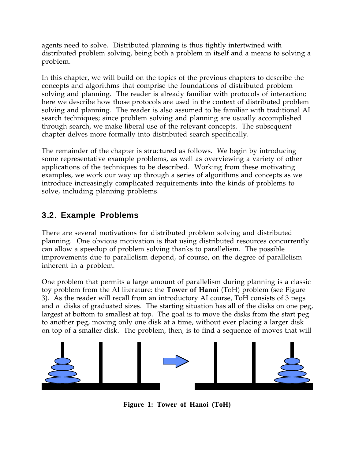agents need to solve. Distributed planning is thus tightly intertwined with distributed problem solving, being both a problem in itself and a means to solving a problem.

In this chapter, we will build on the topics of the previous chapters to describe the concepts and algorithms that comprise the foundations of distributed problem solving and planning. The reader is already familiar with protocols of interaction; here we describe how those protocols are used in the context of distributed problem solving and planning. The reader is also assumed to be familiar with traditional AI search techniques; since problem solving and planning are usually accomplished through search, we make liberal use of the relevant concepts. The subsequent chapter delves more formally into distributed search specifically.

The remainder of the chapter is structured as follows. We begin by introducing some representative example problems, as well as overviewing a variety of other applications of the techniques to be described. Working from these motivating examples, we work our way up through a series of algorithms and concepts as we introduce increasingly complicated requirements into the kinds of problems to solve, including planning problems.

# **3.2. Example Problems**

There are several motivations for distributed problem solving and distributed planning. One obvious motivation is that using distributed resources concurrently can allow a speedup of problem solving thanks to parallelism. The possible improvements due to parallelism depend, of course, on the degree of parallelism inherent in a problem.

One problem that permits a large amount of parallelism during planning is a classic toy problem from the AI literature: the **Tower of Hanoi** (ToH) problem (see Figure 3). As the reader will recall from an introductory AI course, ToH consists of 3 pegs and *n* disks of graduated sizes. The starting situation has all of the disks on one peg, largest at bottom to smallest at top. The goal is to move the disks from the start peg to another peg, moving only one disk at a time, without ever placing a larger disk on top of a smaller disk. The problem, then, is to find a sequence of moves that will



**Figure 1: Tower of Hanoi (ToH)**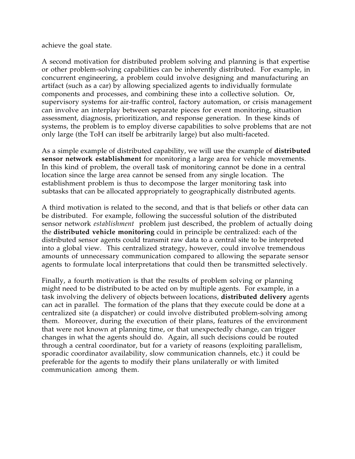achieve the goal state.

A second motivation for distributed problem solving and planning is that expertise or other problem-solving capabilities can be inherently distributed. For example, in concurrent engineering, a problem could involve designing and manufacturing an artifact (such as a car) by allowing specialized agents to individually formulate components and processes, and combining these into a collective solution. Or, supervisory systems for air-traffic control, factory automation, or crisis management can involve an interplay between separate pieces for event monitoring, situation assessment, diagnosis, prioritization, and response generation. In these kinds of systems, the problem is to employ diverse capabilities to solve problems that are not only large (the ToH can itself be arbitrarily large) but also multi-faceted.

As a simple example of distributed capability, we will use the example of **distributed sensor network establishment** for monitoring a large area for vehicle movements. In this kind of problem, the overall task of monitoring cannot be done in a central location since the large area cannot be sensed from any single location. The establishment problem is thus to decompose the larger monitoring task into subtasks that can be allocated appropriately to geographically distributed agents.

A third motivation is related to the second, and that is that beliefs or other data can be distributed. For example, following the successful solution of the distributed sensor network *establishment* problem just described, the problem of actually doing the **distributed vehicle monitoring** could in principle be centralized: each of the distributed sensor agents could transmit raw data to a central site to be interpreted into a global view. This centralized strategy, however, could involve tremendous amounts of unnecessary communication compared to allowing the separate sensor agents to formulate local interpretations that could then be transmitted selectively.

Finally, a fourth motivation is that the results of problem solving or planning might need to be distributed to be acted on by multiple agents. For example, in a task involving the delivery of objects between locations, **distributed delivery** agents can act in parallel. The formation of the plans that they execute could be done at a centralized site (a dispatcher) or could involve distributed problem-solving among them. Moreover, during the execution of their plans, features of the environment that were not known at planning time, or that unexpectedly change, can trigger changes in what the agents should do. Again, all such decisions could be routed through a central coordinator, but for a variety of reasons (exploiting parallelism, sporadic coordinator availability, slow communication channels, etc.) it could be preferable for the agents to modify their plans unilaterally or with limited communication among them.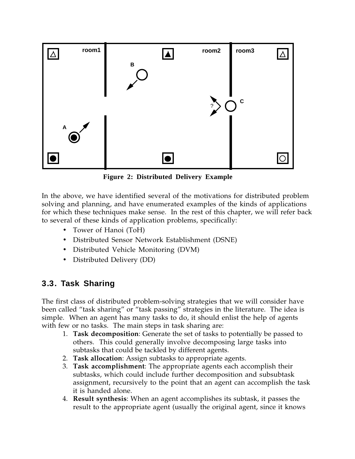

**Figure 2: Distributed Delivery Example**

In the above, we have identified several of the motivations for distributed problem solving and planning, and have enumerated examples of the kinds of applications for which these techniques make sense. In the rest of this chapter, we will refer back to several of these kinds of application problems, specifically:

- Tower of Hanoi (ToH)
- Distributed Sensor Network Establishment (DSNE)
- Distributed Vehicle Monitoring (DVM)
- Distributed Delivery (DD)

## **3.3. Task Sharing**

The first class of distributed problem-solving strategies that we will consider have been called "task sharing" or "task passing" strategies in the literature. The idea is simple. When an agent has many tasks to do, it should enlist the help of agents with few or no tasks. The main steps in task sharing are:

- 1. **Task decomposition**: Generate the set of tasks to potentially be passed to others. This could generally involve decomposing large tasks into subtasks that could be tackled by different agents.
- 2. **Task allocation**: Assign subtasks to appropriate agents.
- 3. **Task accomplishment**: The appropriate agents each accomplish their subtasks, which could include further decomposition and subsubtask assignment, recursively to the point that an agent can accomplish the task it is handed alone.
- 4. **Result synthesis**: When an agent accomplishes its subtask, it passes the result to the appropriate agent (usually the original agent, since it knows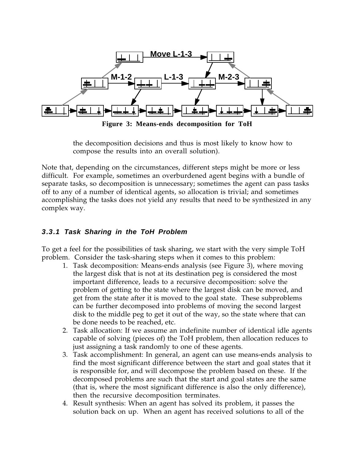

**Figure 3: Means-ends decomposition for ToH**

the decomposition decisions and thus is most likely to know how to compose the results into an overall solution).

Note that, depending on the circumstances, different steps might be more or less difficult. For example, sometimes an overburdened agent begins with a bundle of separate tasks, so decomposition is unnecessary; sometimes the agent can pass tasks off to any of a number of identical agents, so allocation is trivial; and sometimes accomplishing the tasks does not yield any results that need to be synthesized in any complex way.

## **3.3.1 Task Sharing in the ToH Problem**

To get a feel for the possibilities of task sharing, we start with the very simple ToH problem. Consider the task-sharing steps when it comes to this problem:

- 1. Task decomposition: Means-ends analysis (see Figure 3), where moving the largest disk that is not at its destination peg is considered the most important difference, leads to a recursive decomposition: solve the problem of getting to the state where the largest disk can be moved, and get from the state after it is moved to the goal state. These subproblems can be further decomposed into problems of moving the second largest disk to the middle peg to get it out of the way, so the state where that can be done needs to be reached, etc.
- 2. Task allocation: If we assume an indefinite number of identical idle agents capable of solving (pieces of) the ToH problem, then allocation reduces to just assigning a task randomly to one of these agents.
- 3. Task accomplishment: In general, an agent can use means-ends analysis to find the most significant difference between the start and goal states that it is responsible for, and will decompose the problem based on these. If the decomposed problems are such that the start and goal states are the same (that is, where the most significant difference is also the only difference), then the recursive decomposition terminates.
- 4. Result synthesis: When an agent has solved its problem, it passes the solution back on up. When an agent has received solutions to all of the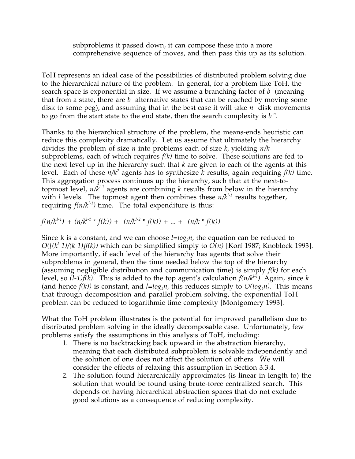subproblems it passed down, it can compose these into a more comprehensive sequence of moves, and then pass this up as its solution.

ToH represents an ideal case of the possibilities of distributed problem solving due to the hierarchical nature of the problem. In general, for a problem like ToH, the search space is exponential in size. If we assume a branching factor of *b* (meaning that from a state, there are *b* alternative states that can be reached by moving some disk to some peg), and assuming that in the best case it will take *n* disk movements to go from the start state to the end state, then the search complexity is *b n* .

Thanks to the hierarchical structure of the problem, the means-ends heuristic can reduce this complexity dramatically. Let us assume that ultimately the hierarchy divides the problem of size *n* into problems each of size *k,* yielding *n/k* subproblems, each of which requires *f(k)* time to solve. These solutions are fed to the next level up in the hierarchy such that *k* are given to each of the agents at this level. Each of these  $n/k^2$  agents has to synthesize  $k$  results, again requiring  $f(k)$  time. This aggregation process continues up the hierarchy, such that at the next-totopmost level, *n/k l-1* agents are combining *k* results from below in the hierarchy with *l* levels. The topmost agent then combines these  $n/k^{l-1}$  results together, requiring  $f(n/k^{l-1})$  time. The total expenditure is thus:

$$
f(n/k^{l-1}) + (n/k^{l-1} * f(k)) + (n/k^{l-2} * f(k)) + ... + (n/k * f(k))
$$

Since k is a constant, and we can choose  $l = log<sub>k</sub>n$ , the equation can be reduced to *O([(k l -1)/(k-1)]f(k))* which can be simplified simply to *O(n)* [Korf 1987; Knoblock 1993]. More importantly, if each level of the hierarchy has agents that solve their subproblems in general, then the time needed below the top of the hierarchy (assuming negligible distribution and communication time) is simply *f(k)* for each level, so (*l-1)f*(*k*). This is added to the top agent's calculation *f*( $n/k^{l-1}$ ). Again, since *k* (and hence  $f(k)$ ) is constant, and  $l = log_k n$ , this reduces simply to  $O(log_k n)$ . This means that through decomposition and parallel problem solving, the exponential ToH problem can be reduced to logarithmic time complexity [Montgomery 1993].

What the ToH problem illustrates is the potential for improved parallelism due to distributed problem solving in the ideally decomposable case. Unfortunately, few problems satisfy the assumptions in this analysis of ToH, including:

- 1. There is no backtracking back upward in the abstraction hierarchy, meaning that each distributed subproblem is solvable independently and the solution of one does not affect the solution of others. We will consider the effects of relaxing this assumption in Section 3.3.4.
- 2. The solution found hierarchically approximates (is linear in length to) the solution that would be found using brute-force centralized search. This depends on having hierarchical abstraction spaces that do not exclude good solutions as a consequence of reducing complexity.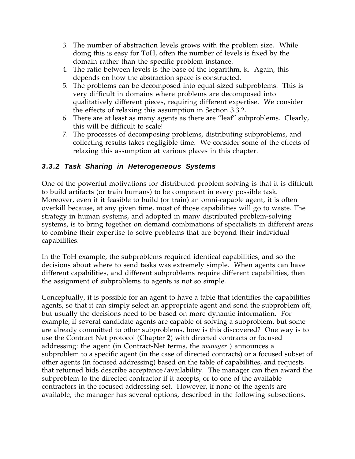- 3. The number of abstraction levels grows with the problem size. While doing this is easy for ToH, often the number of levels is fixed by the domain rather than the specific problem instance.
- 4. The ratio between levels is the base of the logarithm, k. Again, this depends on how the abstraction space is constructed.
- 5. The problems can be decomposed into equal-sized subproblems. This is very difficult in domains where problems are decomposed into qualitatively different pieces, requiring different expertise. We consider the effects of relaxing this assumption in Section 3.3.2.
- 6. There are at least as many agents as there are "leaf" subproblems. Clearly, this will be difficult to scale!
- 7. The processes of decomposing problems, distributing subproblems, and collecting results takes negligible time. We consider some of the effects of relaxing this assumption at various places in this chapter.

### **3.3.2 Task Sharing in Heterogeneous Systems**

One of the powerful motivations for distributed problem solving is that it is difficult to build artifacts (or train humans) to be competent in every possible task. Moreover, even if it feasible to build (or train) an omni-capable agent, it is often overkill because, at any given time, most of those capabilities will go to waste. The strategy in human systems, and adopted in many distributed problem-solving systems, is to bring together on demand combinations of specialists in different areas to combine their expertise to solve problems that are beyond their individual capabilities.

In the ToH example, the subproblems required identical capabilities, and so the decisions about where to send tasks was extremely simple. When agents can have different capabilities, and different subproblems require different capabilities, then the assignment of subproblems to agents is not so simple.

Conceptually, it is possible for an agent to have a table that identifies the capabilities agents, so that it can simply select an appropriate agent and send the subproblem off, but usually the decisions need to be based on more dynamic information. For example, if several candidate agents are capable of solving a subproblem, but some are already committed to other subproblems, how is this discovered? One way is to use the Contract Net protocol (Chapter 2) with directed contracts or focused addressing: the agent (in Contract-Net terms, the *manager* ) announces a subproblem to a specific agent (in the case of directed contracts) or a focused subset of other agents (in focused addressing) based on the table of capabilities, and requests that returned bids describe acceptance/availability. The manager can then award the subproblem to the directed contractor if it accepts, or to one of the available contractors in the focused addressing set. However, if none of the agents are available, the manager has several options, described in the following subsections.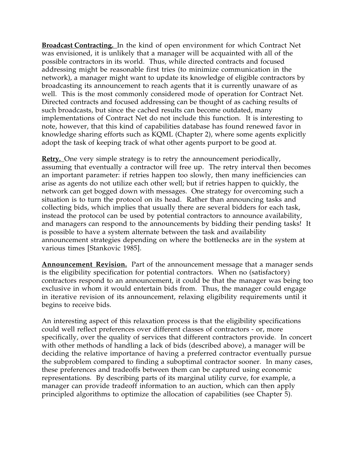**Broadcast Contracting.** In the kind of open environment for which Contract Net was envisioned, it is unlikely that a manager will be acquainted with all of the possible contractors in its world. Thus, while directed contracts and focused addressing might be reasonable first tries (to minimize communication in the network), a manager might want to update its knowledge of eligible contractors by broadcasting its announcement to reach agents that it is currently unaware of as well. This is the most commonly considered mode of operation for Contract Net. Directed contracts and focused addressing can be thought of as caching results of such broadcasts, but since the cached results can become outdated, many implementations of Contract Net do not include this function. It is interesting to note, however, that this kind of capabilities database has found renewed favor in knowledge sharing efforts such as KQML (Chapter 2), where some agents explicitly adopt the task of keeping track of what other agents purport to be good at.

**Retry.** One very simple strategy is to retry the announcement periodically, assuming that eventually a contractor will free up. The retry interval then becomes an important parameter: if retries happen too slowly, then many inefficiencies can arise as agents do not utilize each other well; but if retries happen to quickly, the network can get bogged down with messages. One strategy for overcoming such a situation is to turn the protocol on its head. Rather than announcing tasks and collecting bids, which implies that usually there are several bidders for each task, instead the protocol can be used by potential contractors to announce availability, and managers can respond to the announcements by bidding their pending tasks! It is possible to have a system alternate between the task and availability announcement strategies depending on where the bottlenecks are in the system at various times [Stankovic 1985].

 **Announcement Revision.** Part of the announcement message that a manager sends is the eligibility specification for potential contractors. When no (satisfactory) contractors respond to an announcement, it could be that the manager was being too exclusive in whom it would entertain bids from. Thus, the manager could engage in iterative revision of its announcement, relaxing eligibility requirements until it begins to receive bids.

An interesting aspect of this relaxation process is that the eligibility specifications could well reflect preferences over different classes of contractors - or, more specifically, over the quality of services that different contractors provide. In concert with other methods of handling a lack of bids (described above), a manager will be deciding the relative importance of having a preferred contractor eventually pursue the subproblem compared to finding a suboptimal contractor sooner. In many cases, these preferences and tradeoffs between them can be captured using economic representations. By describing parts of its marginal utility curve, for example, a manager can provide tradeoff information to an auction, which can then apply principled algorithms to optimize the allocation of capabilities (see Chapter 5).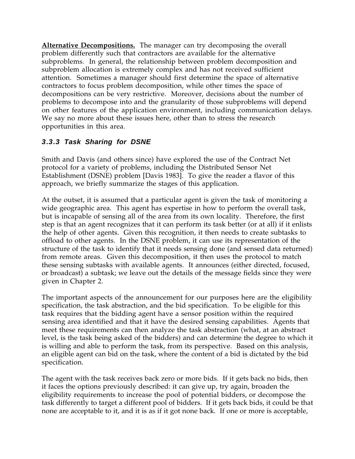**Alternative Decompositions.** The manager can try decomposing the overall problem differently such that contractors are available for the alternative subproblems. In general, the relationship between problem decomposition and subproblem allocation is extremely complex and has not received sufficient attention. Sometimes a manager should first determine the space of alternative contractors to focus problem decomposition, while other times the space of decompositions can be very restrictive. Moreover, decisions about the number of problems to decompose into and the granularity of those subproblems will depend on other features of the application environment, including communication delays. We say no more about these issues here, other than to stress the research opportunities in this area.

## **3.3.3 Task Sharing for DSNE**

Smith and Davis (and others since) have explored the use of the Contract Net protocol for a variety of problems, including the Distributed Sensor Net Establishment (DSNE) problem [Davis 1983]. To give the reader a flavor of this approach, we briefly summarize the stages of this application.

At the outset, it is assumed that a particular agent is given the task of monitoring a wide geographic area. This agent has expertise in how to perform the overall task, but is incapable of sensing all of the area from its own locality. Therefore, the first step is that an agent recognizes that it can perform its task better (or at all) if it enlists the help of other agents. Given this recognition, it then needs to create subtasks to offload to other agents. In the DSNE problem, it can use its representation of the structure of the task to identify that it needs sensing done (and sensed data returned) from remote areas. Given this decomposition, it then uses the protocol to match these sensing subtasks with available agents. It announces (either directed, focused, or broadcast) a subtask; we leave out the details of the message fields since they were given in Chapter 2.

The important aspects of the announcement for our purposes here are the eligibility specification, the task abstraction, and the bid specification. To be eligible for this task requires that the bidding agent have a sensor position within the required sensing area identified and that it have the desired sensing capabilities. Agents that meet these requirements can then analyze the task abstraction (what, at an abstract level, is the task being asked of the bidders) and can determine the degree to which it is willing and able to perform the task, from its perspective. Based on this analysis, an eligible agent can bid on the task, where the content of a bid is dictated by the bid specification.

The agent with the task receives back zero or more bids. If it gets back no bids, then it faces the options previously described: it can give up, try again, broaden the eligibility requirements to increase the pool of potential bidders, or decompose the task differently to target a different pool of bidders. If it gets back bids, it could be that none are acceptable to it, and it is as if it got none back. If one or more is acceptable,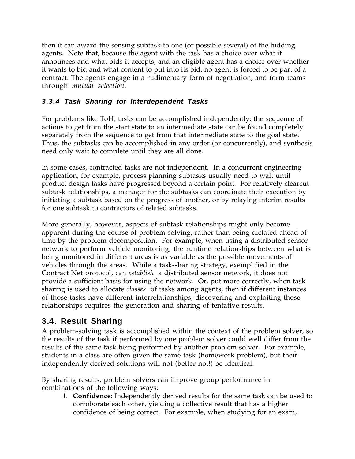then it can award the sensing subtask to one (or possible several) of the bidding agents. Note that, because the agent with the task has a choice over what it announces and what bids it accepts, and an eligible agent has a choice over whether it wants to bid and what content to put into its bid, no agent is forced to be part of a contract. The agents engage in a rudimentary form of negotiation, and form teams through *mutual selection*.

## **3.3.4 Task Sharing for Interdependent Tasks**

For problems like ToH, tasks can be accomplished independently; the sequence of actions to get from the start state to an intermediate state can be found completely separately from the sequence to get from that intermediate state to the goal state. Thus, the subtasks can be accomplished in any order (or concurrently), and synthesis need only wait to complete until they are all done.

In some cases, contracted tasks are not independent. In a concurrent engineering application, for example, process planning subtasks usually need to wait until product design tasks have progressed beyond a certain point. For relatively clearcut subtask relationships, a manager for the subtasks can coordinate their execution by initiating a subtask based on the progress of another, or by relaying interim results for one subtask to contractors of related subtasks.

More generally, however, aspects of subtask relationships might only become apparent during the course of problem solving, rather than being dictated ahead of time by the problem decomposition. For example, when using a distributed sensor network to perform vehicle monitoring, the runtime relationships between what is being monitored in different areas is as variable as the possible movements of vehicles through the areas. While a task-sharing strategy, exemplified in the Contract Net protocol, can *establish* a distributed sensor network, it does not provide a sufficient basis for using the network. Or, put more correctly, when task sharing is used to allocate *classes* of tasks among agents, then if different instances of those tasks have different interrelationships, discovering and exploiting those relationships requires the generation and sharing of tentative results.

# **3.4. Result Sharing**

A problem-solving task is accomplished within the context of the problem solver, so the results of the task if performed by one problem solver could well differ from the results of the same task being performed by another problem solver. For example, students in a class are often given the same task (homework problem), but their independently derived solutions will not (better not!) be identical.

By sharing results, problem solvers can improve group performance in combinations of the following ways:

1. **Confidence**: Independently derived results for the same task can be used to corroborate each other, yielding a collective result that has a higher confidence of being correct. For example, when studying for an exam,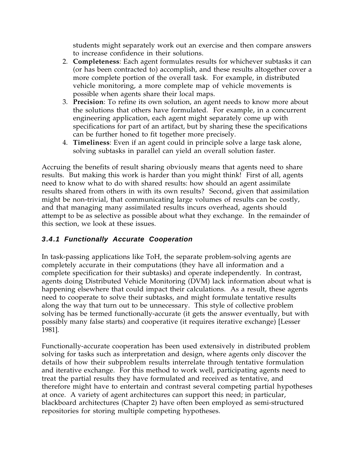students might separately work out an exercise and then compare answers to increase confidence in their solutions.

- 2. **Completeness**: Each agent formulates results for whichever subtasks it can (or has been contracted to) accomplish, and these results altogether cover a more complete portion of the overall task. For example, in distributed vehicle monitoring, a more complete map of vehicle movements is possible when agents share their local maps.
- 3. **Precision**: To refine its own solution, an agent needs to know more about the solutions that others have formulated. For example, in a concurrent engineering application, each agent might separately come up with specifications for part of an artifact, but by sharing these the specifications can be further honed to fit together more precisely.
- 4. **Timeliness**: Even if an agent could in principle solve a large task alone, solving subtasks in parallel can yield an overall solution faster.

Accruing the benefits of result sharing obviously means that agents need to share results. But making this work is harder than you might think! First of all, agents need to know what to do with shared results: how should an agent assimilate results shared from others in with its own results? Second, given that assimilation might be non-trivial, that communicating large volumes of results can be costly, and that managing many assimilated results incurs overhead, agents should attempt to be as selective as possible about what they exchange. In the remainder of this section, we look at these issues.

#### **3.4.1 Functionally Accurate Cooperation**

In task-passing applications like ToH, the separate problem-solving agents are completely accurate in their computations (they have all information and a complete specification for their subtasks) and operate independently. In contrast, agents doing Distributed Vehicle Monitoring (DVM) lack information about what is happening elsewhere that could impact their calculations. As a result, these agents need to cooperate to solve their subtasks, and might formulate tentative results along the way that turn out to be unnecessary. This style of collective problem solving has be termed functionally-accurate (it gets the answer eventually, but with possibly many false starts) and cooperative (it requires iterative exchange) [Lesser 1981].

Functionally-accurate cooperation has been used extensively in distributed problem solving for tasks such as interpretation and design, where agents only discover the details of how their subproblem results interrelate through tentative formulation and iterative exchange. For this method to work well, participating agents need to treat the partial results they have formulated and received as tentative, and therefore might have to entertain and contrast several competing partial hypotheses at once. A variety of agent architectures can support this need; in particular, blackboard architectures (Chapter 2) have often been employed as semi-structured repositories for storing multiple competing hypotheses.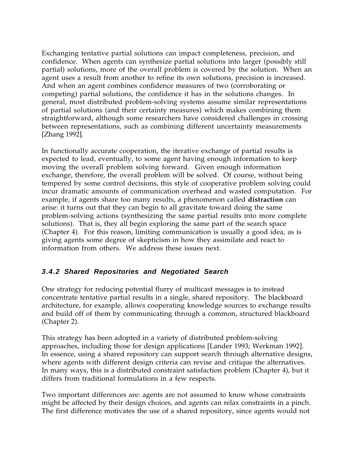Exchanging tentative partial solutions can impact completeness, precision, and confidence. When agents can synthesize partial solutions into larger (possibly still partial) solutions, more of the overall problem is covered by the solution. When an agent uses a result from another to refine its own solutions, precision is increased. And when an agent combines confidence measures of two (corroborating or competing) partial solutions, the confidence it has in the solutions changes. In general, most distributed problem-solving systems assume similar representations of partial solutions (and their certainty measures) which makes combining them straightforward, although some researchers have considered challenges in crossing between representations, such as combining different uncertainty measurements [Zhang 1992].

In functionally accurate cooperation, the iterative exchange of partial results is expected to lead, eventually, to some agent having enough information to keep moving the overall problem solving forward. Given enough information exchange, therefore, the overall problem will be solved. Of course, without being tempered by some control decisions, this style of cooperative problem solving could incur dramatic amounts of communication overhead and wasted computation. For example, if agents share too many results, a phenomenon called **distraction** can arise: it turns out that they can begin to all gravitate toward doing the same problem-solving actions (synthesizing the same partial results into more complete solutions). That is, they all begin exploring the same part of the search space (Chapter 4). For this reason, limiting communication is usually a good idea, as is giving agents some degree of skepticism in how they assimilate and react to information from others. We address these issues next.

#### **3.4.2 Shared Repositories and Negotiated Search**

One strategy for reducing potential flurry of multicast messages is to instead concentrate tentative partial results in a single, shared repository. The blackboard architecture, for example, allows cooperating knowledge sources to exchange results and build off of them by communicating through a common, structured blackboard (Chapter 2).

This strategy has been adopted in a variety of distributed problem-solving approaches, including those for design applications [Lander 1993; Werkman 1992]. In essence, using a shared repository can support search through alternative designs, where agents with different design criteria can revise and critique the alternatives. In many ways, this is a distributed constraint satisfaction problem (Chapter 4), but it differs from traditional formulations in a few respects.

Two important differences are: agents are not assumed to know whose constraints might be affected by their design choices, and agents can relax constraints in a pinch. The first difference motivates the use of a shared repository, since agents would not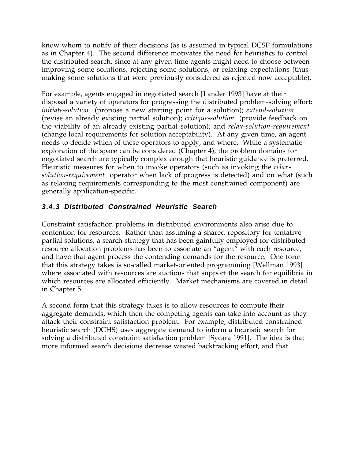know whom to notify of their decisions (as is assumed in typical DCSP formulations as in Chapter 4). The second difference motivates the need for heuristics to control the distributed search, since at any given time agents might need to choose between improving some solutions, rejecting some solutions, or relaxing expectations (thus making some solutions that were previously considered as rejected now acceptable).

For example, agents engaged in negotiated search [Lander 1993] have at their disposal a variety of operators for progressing the distributed problem-solving effort: *initiate-solution* (propose a new starting point for a solution); *extend-solution* (revise an already existing partial solution); *critique-solution* (provide feedback on the viability of an already existing partial solution); and *relax-solution-requirement* (change local requirements for solution acceptability). At any given time, an agent needs to decide which of these operators to apply, and where. While a systematic exploration of the space can be considered (Chapter 4), the problem domains for negotiated search are typically complex enough that heuristic guidance is preferred. Heuristic measures for when to invoke operators (such as invoking the *relaxsolution-requirement* operator when lack of progress is detected) and on what (such as relaxing requirements corresponding to the most constrained component) are generally application-specific.

## **3.4.3 Distributed Constrained Heuristic Search**

Constraint satisfaction problems in distributed environments also arise due to contention for resources. Rather than assuming a shared repository for tentative partial solutions, a search strategy that has been gainfully employed for distributed resource allocation problems has been to associate an "agent" with each resource, and have that agent process the contending demands for the resource. One form that this strategy takes is so-called market-oriented programming [Wellman 1993] where associated with resources are auctions that support the search for equilibria in which resources are allocated efficiently. Market mechanisms are covered in detail in Chapter 5.

A second form that this strategy takes is to allow resources to compute their aggregate demands, which then the competing agents can take into account as they attack their constraint-satisfaction problem. For example, distributed constrained heuristic search (DCHS) uses aggregate demand to inform a heuristic search for solving a distributed constraint satisfaction problem [Sycara 1991]. The idea is that more informed search decisions decrease wasted backtracking effort, and that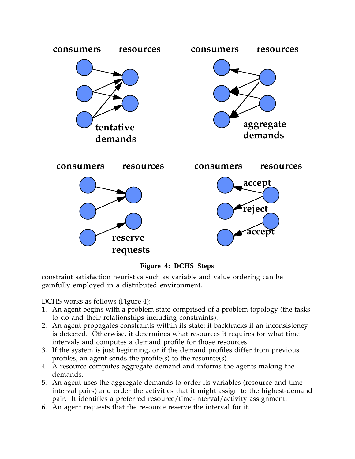

**Figure 4: DCHS Steps**

constraint satisfaction heuristics such as variable and value ordering can be gainfully employed in a distributed environment.

DCHS works as follows (Figure 4):

- 1. An agent begins with a problem state comprised of a problem topology (the tasks to do and their relationships including constraints).
- 2. An agent propagates constraints within its state; it backtracks if an inconsistency is detected. Otherwise, it determines what resources it requires for what time intervals and computes a demand profile for those resources.
- 3. If the system is just beginning, or if the demand profiles differ from previous profiles, an agent sends the profile(s) to the resource(s).
- 4. A resource computes aggregate demand and informs the agents making the demands.
- 5. An agent uses the aggregate demands to order its variables (resource-and-timeinterval pairs) and order the activities that it might assign to the highest-demand pair. It identifies a preferred resource/time-interval/activity assignment.
- 6. An agent requests that the resource reserve the interval for it.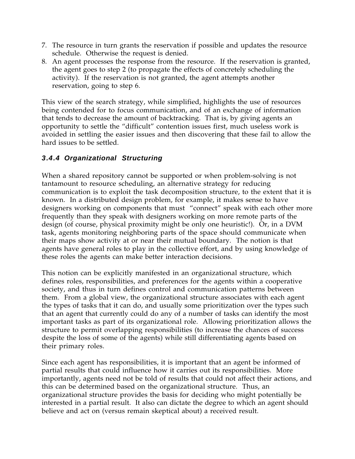- 7. The resource in turn grants the reservation if possible and updates the resource schedule. Otherwise the request is denied.
- 8. An agent processes the response from the resource. If the reservation is granted, the agent goes to step 2 (to propagate the effects of concretely scheduling the activity). If the reservation is not granted, the agent attempts another reservation, going to step 6.

This view of the search strategy, while simplified, highlights the use of resources being contended for to focus communication, and of an exchange of information that tends to decrease the amount of backtracking. That is, by giving agents an opportunity to settle the "difficult" contention issues first, much useless work is avoided in settling the easier issues and then discovering that these fail to allow the hard issues to be settled.

## **3.4.4 Organizational Structuring**

When a shared repository cannot be supported or when problem-solving is not tantamount to resource scheduling, an alternative strategy for reducing communication is to exploit the task decomposition structure, to the extent that it is known. In a distributed design problem, for example, it makes sense to have designers working on components that must "connect" speak with each other more frequently than they speak with designers working on more remote parts of the design (of course, physical proximity might be only one heuristic!). Or, in a DVM task, agents monitoring neighboring parts of the space should communicate when their maps show activity at or near their mutual boundary. The notion is that agents have general roles to play in the collective effort, and by using knowledge of these roles the agents can make better interaction decisions.

This notion can be explicitly manifested in an organizational structure, which defines roles, responsibilities, and preferences for the agents within a cooperative society, and thus in turn defines control and communication patterns between them. From a global view, the organizational structure associates with each agent the types of tasks that it can do, and usually some prioritization over the types such that an agent that currently could do any of a number of tasks can identify the most important tasks as part of its organizational role. Allowing prioritization allows the structure to permit overlapping responsibilities (to increase the chances of success despite the loss of some of the agents) while still differentiating agents based on their primary roles.

Since each agent has responsibilities, it is important that an agent be informed of partial results that could influence how it carries out its responsibilities. More importantly, agents need not be told of results that could not affect their actions, and this can be determined based on the organizational structure. Thus, an organizational structure provides the basis for deciding who might potentially be interested in a partial result. It also can dictate the degree to which an agent should believe and act on (versus remain skeptical about) a received result.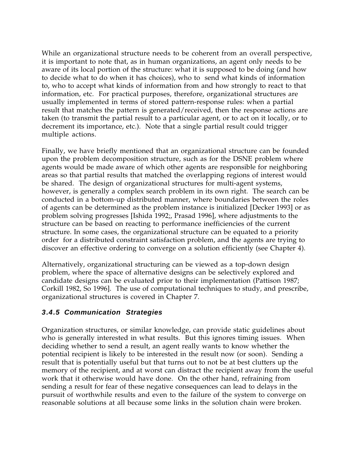While an organizational structure needs to be coherent from an overall perspective, it is important to note that, as in human organizations, an agent only needs to be aware of its local portion of the structure: what it is supposed to be doing (and how to decide what to do when it has choices), who to send what kinds of information to, who to accept what kinds of information from and how strongly to react to that information, etc. For practical purposes, therefore, organizational structures are usually implemented in terms of stored pattern-response rules: when a partial result that matches the pattern is generated/received, then the response actions are taken (to transmit the partial result to a particular agent, or to act on it locally, or to decrement its importance, etc.). Note that a single partial result could trigger multiple actions.

Finally, we have briefly mentioned that an organizational structure can be founded upon the problem decomposition structure, such as for the DSNE problem where agents would be made aware of which other agents are responsible for neighboring areas so that partial results that matched the overlapping regions of interest would be shared. The design of organizational structures for multi-agent systems, however, is generally a complex search problem in its own right. The search can be conducted in a bottom-up distributed manner, where boundaries between the roles of agents can be determined as the problem instance is initialized [Decker 1993] or as problem solving progresses [Ishida 1992;, Prasad 1996], where adjustments to the structure can be based on reacting to performance inefficiencies of the current structure. In some cases, the organizational structure can be equated to a priority order for a distributed constraint satisfaction problem, and the agents are trying to discover an effective ordering to converge on a solution efficiently (see Chapter 4).

Alternatively, organizational structuring can be viewed as a top-down design problem, where the space of alternative designs can be selectively explored and candidate designs can be evaluated prior to their implementation (Pattison 1987; Corkill 1982, So 1996]. The use of computational techniques to study, and prescribe, organizational structures is covered in Chapter 7.

#### **3.4.5 Communication Strategies**

Organization structures, or similar knowledge, can provide static guidelines about who is generally interested in what results. But this ignores timing issues. When deciding whether to send a result, an agent really wants to know whether the potential recipient is likely to be interested in the result now (or soon). Sending a result that is potentially useful but that turns out to not be at best clutters up the memory of the recipient, and at worst can distract the recipient away from the useful work that it otherwise would have done. On the other hand, refraining from sending a result for fear of these negative consequences can lead to delays in the pursuit of worthwhile results and even to the failure of the system to converge on reasonable solutions at all because some links in the solution chain were broken.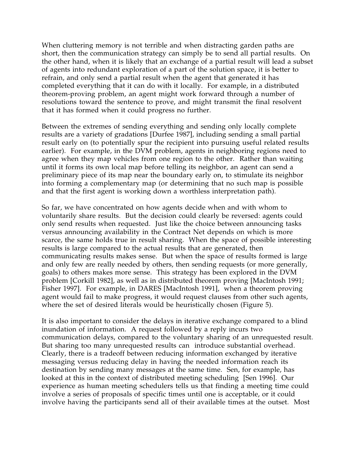When cluttering memory is not terrible and when distracting garden paths are short, then the communication strategy can simply be to send all partial results. On the other hand, when it is likely that an exchange of a partial result will lead a subset of agents into redundant exploration of a part of the solution space, it is better to refrain, and only send a partial result when the agent that generated it has completed everything that it can do with it locally. For example, in a distributed theorem-proving problem, an agent might work forward through a number of resolutions toward the sentence to prove, and might transmit the final resolvent that it has formed when it could progress no further.

Between the extremes of sending everything and sending only locally complete results are a variety of gradations [Durfee 1987], including sending a small partial result early on (to potentially spur the recipient into pursuing useful related results earlier). For example, in the DVM problem, agents in neighboring regions need to agree when they map vehicles from one region to the other. Rather than waiting until it forms its own local map before telling its neighbor, an agent can send a preliminary piece of its map near the boundary early on, to stimulate its neighbor into forming a complementary map (or determining that no such map is possible and that the first agent is working down a worthless interpretation path).

So far, we have concentrated on how agents decide when and with whom to voluntarily share results. But the decision could clearly be reversed: agents could only send results when requested. Just like the choice between announcing tasks versus announcing availability in the Contract Net depends on which is more scarce, the same holds true in result sharing. When the space of possible interesting results is large compared to the actual results that are generated, then communicating results makes sense. But when the space of results formed is large and only few are really needed by others, then sending requests (or more generally, goals) to others makes more sense. This strategy has been explored in the DVM problem [Corkill 1982], as well as in distributed theorem proving [MacIntosh 1991; Fisher 1997]. For example, in DARES [MacIntosh 1991], when a theorem proving agent would fail to make progress, it would request clauses from other such agents, where the set of desired literals would be heuristically chosen (Figure 5).

It is also important to consider the delays in iterative exchange compared to a blind inundation of information. A request followed by a reply incurs two communication delays, compared to the voluntary sharing of an unrequested result. But sharing too many unrequested results can introduce substantial overhead. Clearly, there is a tradeoff between reducing information exchanged by iterative messaging versus reducing delay in having the needed information reach its destination by sending many messages at the same time. Sen, for example, has looked at this in the context of distributed meeting scheduling [Sen 1996]. Our experience as human meeting schedulers tells us that finding a meeting time could involve a series of proposals of specific times until one is acceptable, or it could involve having the participants send all of their available times at the outset. Most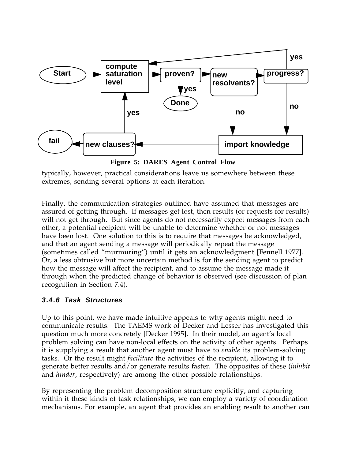



typically, however, practical considerations leave us somewhere between these extremes, sending several options at each iteration.

Finally, the communication strategies outlined have assumed that messages are assured of getting through. If messages get lost, then results (or requests for results) will not get through. But since agents do not necessarily expect messages from each other, a potential recipient will be unable to determine whether or not messages have been lost. One solution to this is to require that messages be acknowledged, and that an agent sending a message will periodically repeat the message (sometimes called "murmuring") until it gets an acknowledgment [Fennell 1977]. Or, a less obtrusive but more uncertain method is for the sending agent to predict how the message will affect the recipient, and to assume the message made it through when the predicted change of behavior is observed (see discussion of plan recognition in Section 7.4).

#### **3.4.6 Task Structures**

Up to this point, we have made intuitive appeals to why agents might need to communicate results. The TAEMS work of Decker and Lesser has investigated this question much more concretely [Decker 1995]. In their model, an agent's local problem solving can have non-local effects on the activity of other agents. Perhaps it is supplying a result that another agent must have to *enable* its problem-solving tasks. Or the result might *facilitate* the activities of the recipient, allowing it to generate better results and/or generate results faster. The opposites of these (*inhibit* and *hinder*, respectively) are among the other possible relationships.

By representing the problem decomposition structure explicitly, and capturing within it these kinds of task relationships, we can employ a variety of coordination mechanisms. For example, an agent that provides an enabling result to another can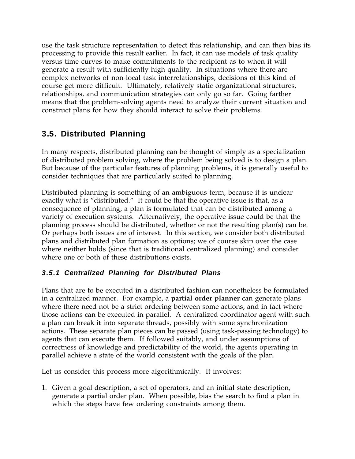use the task structure representation to detect this relationship, and can then bias its processing to provide this result earlier. In fact, it can use models of task quality versus time curves to make commitments to the recipient as to when it will generate a result with sufficiently high quality. In situations where there are complex networks of non-local task interrelationships, decisions of this kind of course get more difficult. Ultimately, relatively static organizational structures, relationships, and communication strategies can only go so far. Going farther means that the problem-solving agents need to analyze their current situation and construct plans for how they should interact to solve their problems.

# **3.5. Distributed Planning**

In many respects, distributed planning can be thought of simply as a specialization of distributed problem solving, where the problem being solved is to design a plan. But because of the particular features of planning problems, it is generally useful to consider techniques that are particularly suited to planning.

Distributed planning is something of an ambiguous term, because it is unclear exactly what is "distributed." It could be that the operative issue is that, as a consequence of planning, a plan is formulated that can be distributed among a variety of execution systems. Alternatively, the operative issue could be that the planning process should be distributed, whether or not the resulting plan(s) can be. Or perhaps both issues are of interest. In this section, we consider both distributed plans and distributed plan formation as options; we of course skip over the case where neither holds (since that is traditional centralized planning) and consider where one or both of these distributions exists.

## **3.5 .1 Centralized Planning for Distributed Plans**

Plans that are to be executed in a distributed fashion can nonetheless be formulated in a centralized manner. For example, a **partial order planner** can generate plans where there need not be a strict ordering between some actions, and in fact where those actions can be executed in parallel. A centralized coordinator agent with such a plan can break it into separate threads, possibly with some synchronization actions. These separate plan pieces can be passed (using task-passing technology) to agents that can execute them. If followed suitably, and under assumptions of correctness of knowledge and predictability of the world, the agents operating in parallel achieve a state of the world consistent with the goals of the plan.

Let us consider this process more algorithmically. It involves:

1. Given a goal description, a set of operators, and an initial state description, generate a partial order plan. When possible, bias the search to find a plan in which the steps have few ordering constraints among them.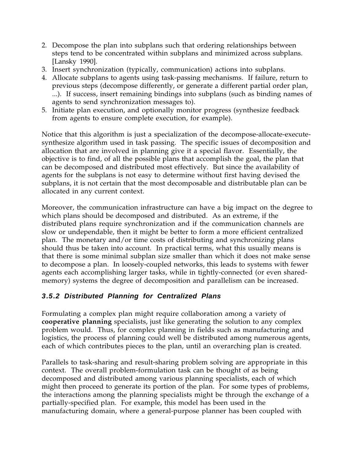- 2. Decompose the plan into subplans such that ordering relationships between steps tend to be concentrated within subplans and minimized across subplans. [Lansky 1990].
- 3. Insert synchronization (typically, communication) actions into subplans.
- 4. Allocate subplans to agents using task-passing mechanisms. If failure, return to previous steps (decompose differently, or generate a different partial order plan, ...). If success, insert remaining bindings into subplans (such as binding names of agents to send synchronization messages to).
- 5. Initiate plan execution, and optionally monitor progress (synthesize feedback from agents to ensure complete execution, for example).

Notice that this algorithm is just a specialization of the decompose-allocate-executesynthesize algorithm used in task passing. The specific issues of decomposition and allocation that are involved in planning give it a special flavor. Essentially, the objective is to find, of all the possible plans that accomplish the goal, the plan that can be decomposed and distributed most effectively. But since the availability of agents for the subplans is not easy to determine without first having devised the subplans, it is not certain that the most decomposable and distributable plan can be allocated in any current context.

Moreover, the communication infrastructure can have a big impact on the degree to which plans should be decomposed and distributed. As an extreme, if the distributed plans require synchronization and if the communication channels are slow or undependable, then it might be better to form a more efficient centralized plan. The monetary and/or time costs of distributing and synchronizing plans should thus be taken into account. In practical terms, what this usually means is that there is some minimal subplan size smaller than which it does not make sense to decompose a plan. In loosely-coupled networks, this leads to systems with fewer agents each accomplishing larger tasks, while in tightly-connected (or even sharedmemory) systems the degree of decomposition and parallelism can be increased.

## **3.5 .2 Distributed Planning for Centralized Plans**

Formulating a complex plan might require collaboration among a variety of **cooperative planning** specialists, just like generating the solution to any complex problem would. Thus, for complex planning in fields such as manufacturing and logistics, the process of planning could well be distributed among numerous agents, each of which contributes pieces to the plan, until an overarching plan is created.

Parallels to task-sharing and result-sharing problem solving are appropriate in this context. The overall problem-formulation task can be thought of as being decomposed and distributed among various planning specialists, each of which might then proceed to generate its portion of the plan. For some types of problems, the interactions among the planning specialists might be through the exchange of a partially-specified plan. For example, this model has been used in the manufacturing domain, where a general-purpose planner has been coupled with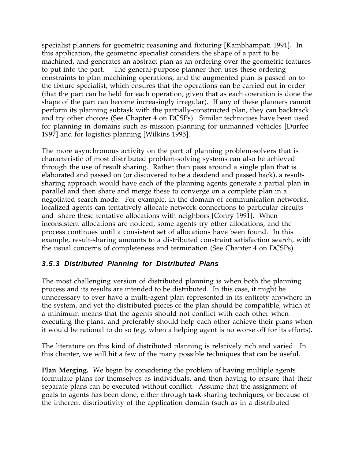specialist planners for geometric reasoning and fixturing [Kambhampati 1991]. In this application, the geometric specialist considers the shape of a part to be machined, and generates an abstract plan as an ordering over the geometric features to put into the part. The general-purpose planner then uses these ordering constraints to plan machining operations, and the augmented plan is passed on to the fixture specialist, which ensures that the operations can be carried out in order (that the part can be held for each operation, given that as each operation is done the shape of the part can become increasingly irregular). If any of these planners cannot perform its planning subtask with the partially-constructed plan, they can backtrack and try other choices (See Chapter 4 on DCSPs). Similar techniques have been used for planning in domains such as mission planning for unmanned vehicles [Durfee 1997] and for logistics planning [Wilkins 1995].

The more asynchronous activity on the part of planning problem-solvers that is characteristic of most distributed problem-solving systems can also be achieved through the use of result sharing. Rather than pass around a single plan that is elaborated and passed on (or discovered to be a deadend and passed back), a resultsharing approach would have each of the planning agents generate a partial plan in parallel and then share and merge these to converge on a complete plan in a negotiated search mode. For example, in the domain of communication networks, localized agents can tentatively allocate network connections to particular circuits and share these tentative allocations with neighbors [Conry 1991]. When inconsistent allocations are noticed, some agents try other allocations, and the process continues until a consistent set of allocations have been found. In this example, result-sharing amounts to a distributed constraint satisfaction search, with the usual concerns of completeness and termination (See Chapter 4 on DCSPs).

#### **3.5 .3 Distributed Planning for Distributed Plans**

The most challenging version of distributed planning is when both the planning process and its results are intended to be distributed. In this case, it might be unnecessary to ever have a multi-agent plan represented in its entirety anywhere in the system, and yet the distributed pieces of the plan should be compatible, which at a minimum means that the agents should not conflict with each other when executing the plans, and preferably should help each other achieve their plans when it would be rational to do so (e.g. when a helping agent is no worse off for its efforts).

The literature on this kind of distributed planning is relatively rich and varied. In this chapter, we will hit a few of the many possible techniques that can be useful.

**Plan Merging.** We begin by considering the problem of having multiple agents formulate plans for themselves as individuals, and then having to ensure that their separate plans can be executed without conflict. Assume that the assignment of goals to agents has been done, either through task-sharing techniques, or because of the inherent distributivity of the application domain (such as in a distributed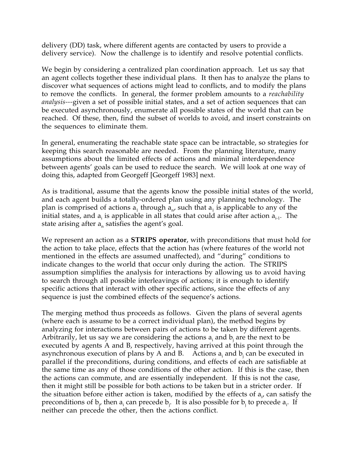delivery (DD) task, where different agents are contacted by users to provide a delivery service). Now the challenge is to identify and resolve potential conflicts.

We begin by considering a centralized plan coordination approach. Let us say that an agent collects together these individual plans. It then has to analyze the plans to discover what sequences of actions might lead to conflicts, and to modify the plans to remove the conflicts. In general, the former problem amounts to a *reachability analysis---*given a set of possible initial states, and a set of action sequences that can be executed asynchronously, enumerate all possible states of the world that can be reached. Of these, then, find the subset of worlds to avoid, and insert constraints on the sequences to eliminate them.

In general, enumerating the reachable state space can be intractable, so strategies for keeping this search reasonable are needed. From the planning literature, many assumptions about the limited effects of actions and minimal interdependence between agents' goals can be used to reduce the search. We will look at one way of doing this, adapted from Georgeff [Georgeff 1983] next.

As is traditional, assume that the agents know the possible initial states of the world, and each agent builds a totally-ordered plan using any planning technology. The plan is comprised of actions  ${\sf a_{\scriptscriptstyle 1}}$  through  ${\sf a_{\scriptscriptstyle n}}$ , such that  ${\sf a_{\scriptscriptstyle 1}}$  is applicable to any of the initial states, and  $a_i$  is applicable in all states that could arise after action  $a_{i\text{-}1}$ . The state arising after  $a_n$  satisfies the agent's goal.

We represent an action as a **STRIPS operator**, with preconditions that must hold for the action to take place, effects that the action has (where features of the world not mentioned in the effects are assumed unaffected), and "during" conditions to indicate changes to the world that occur only during the action. The STRIPS assumption simplifies the analysis for interactions by allowing us to avoid having to search through all possible interleavings of actions; it is enough to identify specific actions that interact with other specific actions, since the effects of any sequence is just the combined effects of the sequence's actions.

The merging method thus proceeds as follows. Given the plans of several agents (where each is assume to be a correct individual plan), the method begins by analyzing for interactions between pairs of actions to be taken by different agents. Arbitrarily, let us say we are considering the actions a<sub>i</sub> and b<sub>j</sub> are the next to be executed by agents A and B, respectively, having arrived at this point through the asynchronous execution of plans by A and B.  $\;$  Actions  ${\sf a}_{\sf i}$  and  ${\sf b}_{\sf j}$  can be executed in parallel if the preconditions, during conditions, and effects of each are satisfiable at the same time as any of those conditions of the other action. If this is the case, then the actions can commute, and are essentially independent. If this is not the case, then it might still be possible for both actions to be taken but in a stricter order. If the situation before either action is taken, modified by the effects of  $a_i$ , can satisfy the preconditions of b<sub>j</sub>, then a<sub>i</sub> can precede b<sub>j</sub>. It is also possible for b<sub>j</sub> to precede a<sub>i</sub>. If neither can precede the other, then the actions conflict.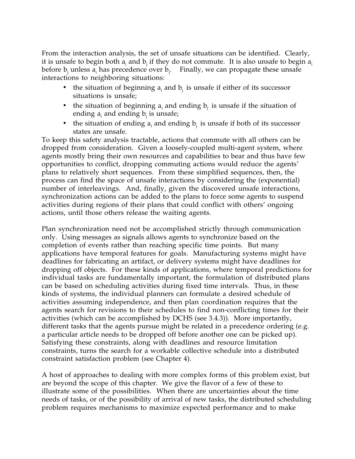From the interaction analysis, the set of unsafe situations can be identified. Clearly, it is unsafe to begin both  $a_i$  and  $b_j$  if they do not commute. It is also unsafe to begin  $a_i$ before b<sub>j</sub> unless a<sub>i</sub> has precedence over b<sub>j</sub>. Finally, we can propagate these unsafe interactions to neighboring situations:

- the situation of beginning  $a_i$  and  $b_j$  is unsafe if either of its successor situations is unsafe;
- the situation of beginning  $a_i$  and ending  $b_j$  is unsafe if the situation of ending  $\rm a_i$  and ending  $\rm b_j$  is unsafe;
- the situation of ending  $a_i$  and ending  $b_j$  is unsafe if both of its successor states are unsafe.

To keep this safety analysis tractable, actions that commute with all others can be dropped from consideration. Given a loosely-coupled multi-agent system, where agents mostly bring their own resources and capabilities to bear and thus have few opportunities to conflict, dropping commuting actions would reduce the agents' plans to relatively short sequences. From these simplified sequences, then, the process can find the space of unsafe interactions by considering the (exponential) number of interleavings. And, finally, given the discovered unsafe interactions, synchronization actions can be added to the plans to force some agents to suspend activities during regions of their plans that could conflict with others' ongoing actions, until those others release the waiting agents.

Plan synchronization need not be accomplished strictly through communication only. Using messages as signals allows agents to synchronize based on the completion of events rather than reaching specific time points. But many applications have temporal features for goals. Manufacturing systems might have deadlines for fabricating an artifact, or delivery systems might have deadlines for dropping off objects. For these kinds of applications, where temporal predictions for individual tasks are fundamentally important, the formulation of distributed plans can be based on scheduling activities during fixed time intervals. Thus, in these kinds of systems, the individual planners can formulate a desired schedule of activities assuming independence, and then plan coordination requires that the agents search for revisions to their schedules to find non-conflicting times for their activities (which can be accomplished by DCHS (see 3.4.3)). More importantly, different tasks that the agents pursue might be related in a precedence ordering (e.g. a particular article needs to be dropped off before another one can be picked up). Satisfying these constraints, along with deadlines and resource limitation constraints, turns the search for a workable collective schedule into a distributed constraint satisfaction problem (see Chapter 4).

A host of approaches to dealing with more complex forms of this problem exist, but are beyond the scope of this chapter. We give the flavor of a few of these to illustrate some of the possibilities. When there are uncertainties about the time needs of tasks, or of the possibility of arrival of new tasks, the distributed scheduling problem requires mechanisms to maximize expected performance and to make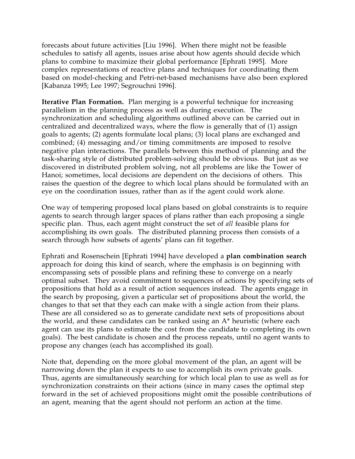forecasts about future activities [Liu 1996]. When there might not be feasible schedules to satisfy all agents, issues arise about how agents should decide which plans to combine to maximize their global performance [Ephrati 1995]. More complex representations of reactive plans and techniques for coordinating them based on model-checking and Petri-net-based mechanisms have also been explored [Kabanza 1995; Lee 1997; Segrouchni 1996].

**Iterative Plan Formation.** Plan merging is a powerful technique for increasing parallelism in the planning process as well as during execution. The synchronization and scheduling algorithms outlined above can be carried out in centralized and decentralized ways, where the flow is generally that of (1) assign goals to agents; (2) agents formulate local plans; (3) local plans are exchanged and combined; (4) messaging and/or timing commitments are imposed to resolve negative plan interactions. The parallels between this method of planning and the task-sharing style of distributed problem-solving should be obvious. But just as we discovered in distributed problem solving, not all problems are like the Tower of Hanoi; sometimes, local decisions are dependent on the decisions of others. This raises the question of the degree to which local plans should be formulated with an eye on the coordination issues, rather than as if the agent could work alone.

One way of tempering proposed local plans based on global constraints is to require agents to search through larger spaces of plans rather than each proposing a single specific plan. Thus, each agent might construct the set of *all* feasible plans for accomplishing its own goals. The distributed planning process then consists of a search through how subsets of agents' plans can fit together.

Ephrati and Rosenschein [Ephrati 1994] have developed a **plan combination search** approach for doing this kind of search, where the emphasis is on beginning with encompassing sets of possible plans and refining these to converge on a nearly optimal subset. They avoid commitment to sequences of actions by specifying sets of propositions that hold as a result of action sequences instead. The agents engage in the search by proposing, given a particular set of propositions about the world, the changes to that set that they each can make with a single action from their plans. These are all considered so as to generate candidate next sets of propositions about the world, and these candidates can be ranked using an A\* heuristic (where each agent can use its plans to estimate the cost from the candidate to completing its own goals). The best candidate is chosen and the process repeats, until no agent wants to propose any changes (each has accomplished its goal).

Note that, depending on the more global movement of the plan, an agent will be narrowing down the plan it expects to use to accomplish its own private goals. Thus, agents are simultaneously searching for which local plan to use as well as for synchronization constraints on their actions (since in many cases the optimal step forward in the set of achieved propositions might omit the possible contributions of an agent, meaning that the agent should not perform an action at the time.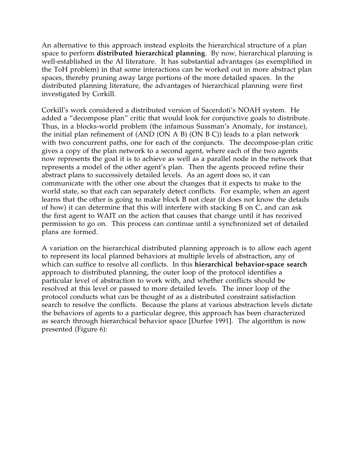An alternative to this approach instead exploits the hierarchical structure of a plan space to perform **distributed hierarchical planning**. By now, hierarchical planning is well-established in the AI literature. It has substantial advantages (as exemplified in the ToH problem) in that some interactions can be worked out in more abstract plan spaces, thereby pruning away large portions of the more detailed spaces. In the distributed planning literature, the advantages of hierarchical planning were first investigated by Corkill.

Corkill's work considered a distributed version of Sacerdoti's NOAH system. He added a "decompose plan" critic that would look for conjunctive goals to distribute. Thus, in a blocks-world problem (the infamous Sussman's Anomaly, for instance), the initial plan refinement of (AND (ON A B) (ON B C)) leads to a plan network with two concurrent paths, one for each of the conjuncts. The decompose-plan critic gives a copy of the plan network to a second agent, where each of the two agents now represents the goal it is to achieve as well as a parallel node in the network that represents a model of the other agent's plan. Then the agents proceed refine their abstract plans to successively detailed levels. As an agent does so, it can communicate with the other one about the changes that it expects to make to the world state, so that each can separately detect conflicts. For example, when an agent learns that the other is going to make block B not clear (it does not know the details of how) it can determine that this will interfere with stacking B on C, and can ask the first agent to WAIT on the action that causes that change until it has received permission to go on. This process can continue until a synchronized set of detailed plans are formed.

A variation on the hierarchical distributed planning approach is to allow each agent to represent its local planned behaviors at multiple levels of abstraction, any of which can suffice to resolve all conflicts. In this **hierarchical behavior-space search** approach to distributed planning, the outer loop of the protocol identifies a particular level of abstraction to work with, and whether conflicts should be resolved at this level or passed to more detailed levels. The inner loop of the protocol conducts what can be thought of as a distributed constraint satisfaction search to resolve the conflicts. Because the plans at various abstraction levels dictate the behaviors of agents to a particular degree, this approach has been characterized as search through hierarchical behavior space [Durfee 1991]. The algorithm is now presented (Figure 6):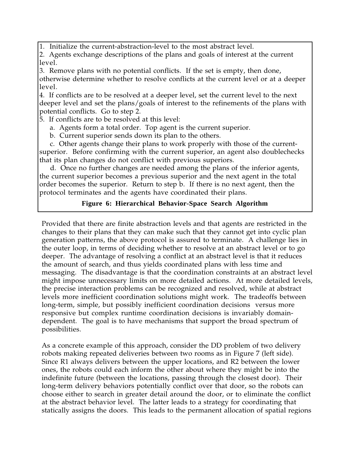1. Initialize the current-abstraction-level to the most abstract level.

2. Agents exchange descriptions of the plans and goals of interest at the current level.

3. Remove plans with no potential conflicts. If the set is empty, then done, otherwise determine whether to resolve conflicts at the current level or at a deeper level.

4. If conflicts are to be resolved at a deeper level, set the current level to the next deeper level and set the plans/goals of interest to the refinements of the plans with potential conflicts. Go to step 2.

5. If conflicts are to be resolved at this level:

a. Agents form a total order. Top agent is the current superior.

b. Current superior sends down its plan to the others.

 c. Other agents change their plans to work properly with those of the currentsuperior. Before confirming with the current superior, an agent also doublechecks that its plan changes do not conflict with previous superiors.

 d. Once no further changes are needed among the plans of the inferior agents, the current superior becomes a previous superior and the next agent in the total order becomes the superior. Return to step b. If there is no next agent, then the protocol terminates and the agents have coordinated their plans.

#### **Figure 6: Hierarchical Behavior-Space Search Algorithm**

Provided that there are finite abstraction levels and that agents are restricted in the changes to their plans that they can make such that they cannot get into cyclic plan generation patterns, the above protocol is assured to terminate. A challenge lies in the outer loop, in terms of deciding whether to resolve at an abstract level or to go deeper. The advantage of resolving a conflict at an abstract level is that it reduces the amount of search, and thus yields coordinated plans with less time and messaging. The disadvantage is that the coordination constraints at an abstract level might impose unnecessary limits on more detailed actions. At more detailed levels, the precise interaction problems can be recognized and resolved, while at abstract levels more inefficient coordination solutions might work. The tradeoffs between long-term, simple, but possibly inefficient coordination decisions versus more responsive but complex runtime coordination decisions is invariably domaindependent. The goal is to have mechanisms that support the broad spectrum of possibilities.

As a concrete example of this approach, consider the DD problem of two delivery robots making repeated deliveries between two rooms as in Figure 7 (left side). Since R1 always delivers between the upper locations, and R2 between the lower ones, the robots could each inform the other about where they might be into the indefinite future (between the locations, passing through the closest door). Their long-term delivery behaviors potentially conflict over that door, so the robots can choose either to search in greater detail around the door, or to eliminate the conflict at the abstract behavior level. The latter leads to a strategy for coordinating that statically assigns the doors. This leads to the permanent allocation of spatial regions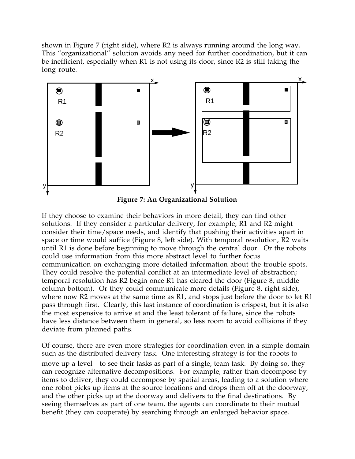shown in Figure 7 (right side), where R2 is always running around the long way. This "organizational" solution avoids any need for further coordination, but it can be inefficient, especially when R1 is not using its door, since R2 is still taking the long route.





If they choose to examine their behaviors in more detail, they can find other solutions. If they consider a particular delivery, for example, R1 and R2 might consider their time/space needs, and identify that pushing their activities apart in space or time would suffice (Figure 8, left side). With temporal resolution, R2 waits until R1 is done before beginning to move through the central door. Or the robots could use information from this more abstract level to further focus communication on exchanging more detailed information about the trouble spots. They could resolve the potential conflict at an intermediate level of abstraction; temporal resolution has R2 begin once R1 has cleared the door (Figure 8, middle column bottom). Or they could communicate more details (Figure 8, right side), where now R2 moves at the same time as R1, and stops just before the door to let R1 pass through first. Clearly, this last instance of coordination is crispest, but it is also the most expensive to arrive at and the least tolerant of failure, since the robots have less distance between them in general, so less room to avoid collisions if they deviate from planned paths.

Of course, there are even more strategies for coordination even in a simple domain such as the distributed delivery task. One interesting strategy is for the robots to move up a level—to see their tasks as part of a single, team task. By doing so, they can recognize alternative decompositions. For example, rather than decompose by items to deliver, they could decompose by spatial areas, leading to a solution where one robot picks up items at the source locations and drops them off at the doorway, and the other picks up at the doorway and delivers to the final destinations. By seeing themselves as part of one team, the agents can coordinate to their mutual benefit (they can cooperate) by searching through an enlarged behavior space.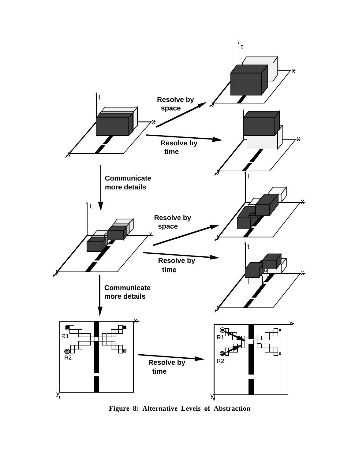

**Figure 8: Alternative Levels of Abstraction**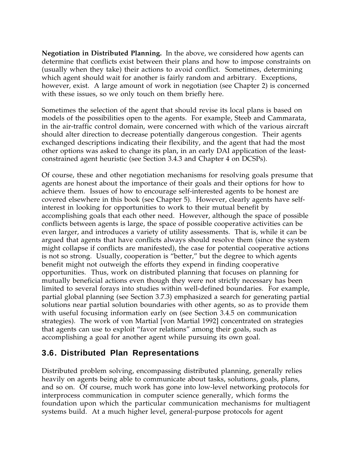**Negotiation in Distributed Planning.** In the above, we considered how agents can determine that conflicts exist between their plans and how to impose constraints on (usually when they take) their actions to avoid conflict. Sometimes, determining which agent should wait for another is fairly random and arbitrary. Exceptions, however, exist. A large amount of work in negotiation (see Chapter 2) is concerned with these issues, so we only touch on them briefly here.

Sometimes the selection of the agent that should revise its local plans is based on models of the possibilities open to the agents. For example, Steeb and Cammarata, in the air-traffic control domain, were concerned with which of the various aircraft should alter direction to decrease potentially dangerous congestion. Their agents exchanged descriptions indicating their flexibility, and the agent that had the most other options was asked to change its plan, in an early DAI application of the leastconstrained agent heuristic (see Section 3.4.3 and Chapter 4 on DCSPs).

Of course, these and other negotiation mechanisms for resolving goals presume that agents are honest about the importance of their goals and their options for how to achieve them. Issues of how to encourage self-interested agents to be honest are covered elsewhere in this book (see Chapter 5). However, clearly agents have selfinterest in looking for opportunities to work to their mutual benefit by accomplishing goals that each other need. However, although the space of possible conflicts between agents is large, the space of possible cooperative activities can be even larger, and introduces a variety of utility assessments. That is, while it can be argued that agents that have conflicts always should resolve them (since the system might collapse if conflicts are manifested), the case for potential cooperative actions is not so strong. Usually, cooperation is "better," but the degree to which agents benefit might not outweigh the efforts they expend in finding cooperative opportunities. Thus, work on distributed planning that focuses on planning for mutually beneficial actions even though they were not strictly necessary has been limited to several forays into studies within well-defined boundaries. For example, partial global planning (see Section 3.7.3) emphasized a search for generating partial solutions near partial solution boundaries with other agents, so as to provide them with useful focusing information early on (see Section 3.4.5 on communication strategies). The work of von Martial [von Martial 1992] concentrated on strategies that agents can use to exploit "favor relations" among their goals, such as accomplishing a goal for another agent while pursuing its own goal.

## **3.6. Distributed Plan Representations**

Distributed problem solving, encompassing distributed planning, generally relies heavily on agents being able to communicate about tasks, solutions, goals, plans, and so on. Of course, much work has gone into low-level networking protocols for interprocess communication in computer science generally, which forms the foundation upon which the particular communication mechanisms for multiagent systems build. At a much higher level, general-purpose protocols for agent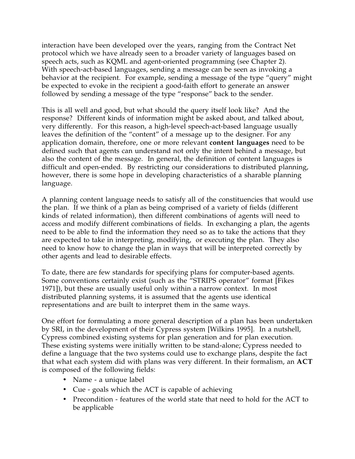interaction have been developed over the years, ranging from the Contract Net protocol which we have already seen to a broader variety of languages based on speech acts, such as KQML and agent-oriented programming (see Chapter 2). With speech-act-based languages, sending a message can be seen as invoking a behavior at the recipient. For example, sending a message of the type "query" might be expected to evoke in the recipient a good-faith effort to generate an answer followed by sending a message of the type "response" back to the sender.

This is all well and good, but what should the query itself look like? And the response? Different kinds of information might be asked about, and talked about, very differently. For this reason, a high-level speech-act-based language usually leaves the definition of the "content" of a message up to the designer. For any application domain, therefore, one or more relevant **content languages** need to be defined such that agents can understand not only the intent behind a message, but also the content of the message. In general, the definition of content languages is difficult and open-ended. By restricting our considerations to distributed planning, however, there is some hope in developing characteristics of a sharable planning language.

A planning content language needs to satisfy all of the constituencies that would use the plan. If we think of a plan as being comprised of a variety of fields (different kinds of related information), then different combinations of agents will need to access and modify different combinations of fields. In exchanging a plan, the agents need to be able to find the information they need so as to take the actions that they are expected to take in interpreting, modifying, or executing the plan. They also need to know how to change the plan in ways that will be interpreted correctly by other agents and lead to desirable effects.

To date, there are few standards for specifying plans for computer-based agents. Some conventions certainly exist (such as the "STRIPS operator" format [Fikes 1971]), but these are usually useful only within a narrow context. In most distributed planning systems, it is assumed that the agents use identical representations and are built to interpret them in the same ways.

One effort for formulating a more general description of a plan has been undertaken by SRI, in the development of their Cypress system [Wilkins 1995]. In a nutshell, Cypress combined existing systems for plan generation and for plan execution. These existing systems were initially written to be stand-alone; Cypress needed to define a language that the two systems could use to exchange plans, despite the fact that what each system did with plans was very different. In their formalism, an **ACT** is composed of the following fields:

- Name a unique label
- Cue goals which the ACT is capable of achieving
- Precondition features of the world state that need to hold for the ACT to be applicable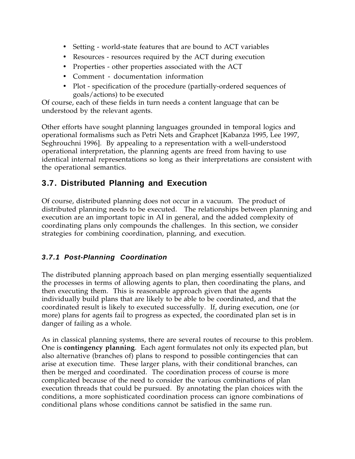- Setting world-state features that are bound to ACT variables
- Resources resources required by the ACT during execution
- Properties other properties associated with the ACT
- Comment documentation information
- Plot specification of the procedure (partially-ordered sequences of goals/actions) to be executed

Of course, each of these fields in turn needs a content language that can be understood by the relevant agents.

Other efforts have sought planning languages grounded in temporal logics and operational formalisms such as Petri Nets and Graphcet [Kabanza 1995, Lee 1997, Seghrouchni 1996]. By appealing to a representation with a well-understood operational interpretation, the planning agents are freed from having to use identical internal representations so long as their interpretations are consistent with the operational semantics.

# **3.7. Distributed Planning and Execution**

Of course, distributed planning does not occur in a vacuum. The product of distributed planning needs to be executed. The relationships between planning and execution are an important topic in AI in general, and the added complexity of coordinating plans only compounds the challenges. In this section, we consider strategies for combining coordination, planning, and execution.

## **3.7.1 Post-Planning Coordination**

The distributed planning approach based on plan merging essentially sequentialized the processes in terms of allowing agents to plan, then coordinating the plans, and then executing them. This is reasonable approach given that the agents individually build plans that are likely to be able to be coordinated, and that the coordinated result is likely to executed successfully. If, during execution, one (or more) plans for agents fail to progress as expected, the coordinated plan set is in danger of failing as a whole.

As in classical planning systems, there are several routes of recourse to this problem. One is **contingency planning**. Each agent formulates not only its expected plan, but also alternative (branches of) plans to respond to possible contingencies that can arise at execution time. These larger plans, with their conditional branches, can then be merged and coordinated. The coordination process of course is more complicated because of the need to consider the various combinations of plan execution threads that could be pursued. By annotating the plan choices with the conditions, a more sophisticated coordination process can ignore combinations of conditional plans whose conditions cannot be satisfied in the same run.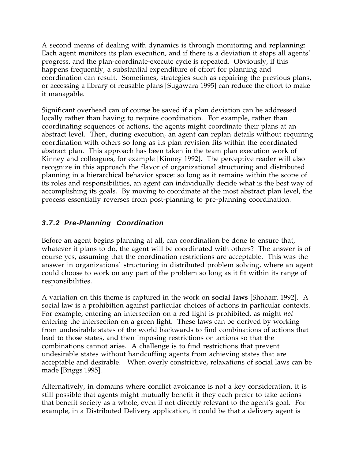A second means of dealing with dynamics is through monitoring and replanning: Each agent monitors its plan execution, and if there is a deviation it stops all agents' progress, and the plan-coordinate-execute cycle is repeated. Obviously, if this happens frequently, a substantial expenditure of effort for planning and coordination can result. Sometimes, strategies such as repairing the previous plans, or accessing a library of reusable plans [Sugawara 1995] can reduce the effort to make it managable.

Significant overhead can of course be saved if a plan deviation can be addressed locally rather than having to require coordination. For example, rather than coordinating sequences of actions, the agents might coordinate their plans at an abstract level. Then, during execution, an agent can replan details without requiring coordination with others so long as its plan revision fits within the coordinated abstract plan. This approach has been taken in the team plan execution work of Kinney and colleagues, for example [Kinney 1992]. The perceptive reader will also recognize in this approach the flavor of organizational structuring and distributed planning in a hierarchical behavior space: so long as it remains within the scope of its roles and responsibilities, an agent can individually decide what is the best way of accomplishing its goals. By moving to coordinate at the most abstract plan level, the process essentially reverses from post-planning to pre-planning coordination.

## **3.7.2 Pre-Planning Coordination**

Before an agent begins planning at all, can coordination be done to ensure that, whatever it plans to do, the agent will be coordinated with others? The answer is of course yes, assuming that the coordination restrictions are acceptable. This was the answer in organizational structuring in distributed problem solving, where an agent could choose to work on any part of the problem so long as it fit within its range of responsibilities.

A variation on this theme is captured in the work on **social laws** [Shoham 1992]. A social law is a prohibition against particular choices of actions in particular contexts. For example, entering an intersection on a red light is prohibited, as might *not* entering the intersection on a green light. These laws can be derived by working from undesirable states of the world backwards to find combinations of actions that lead to those states, and then imposing restrictions on actions so that the combinations cannot arise. A challenge is to find restrictions that prevent undesirable states without handcuffing agents from achieving states that are acceptable and desirable. When overly constrictive, relaxations of social laws can be made [Briggs 1995].

Alternatively, in domains where conflict avoidance is not a key consideration, it is still possible that agents might mutually benefit if they each prefer to take actions that benefit society as a whole, even if not directly relevant to the agent's goal. For example, in a Distributed Delivery application, it could be that a delivery agent is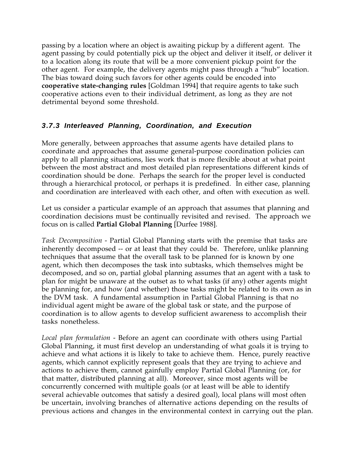passing by a location where an object is awaiting pickup by a different agent. The agent passing by could potentially pick up the object and deliver it itself, or deliver it to a location along its route that will be a more convenient pickup point for the other agent. For example, the delivery agents might pass through a "hub" location. The bias toward doing such favors for other agents could be encoded into **cooperative state-changing rules** [Goldman 1994] that require agents to take such cooperative actions even to their individual detriment, as long as they are not detrimental beyond some threshold.

### **3.7.3 Interleaved Planning, Coordination, and Execution**

More generally, between approaches that assume agents have detailed plans to coordinate and approaches that assume general-purpose coordination policies can apply to all planning situations, lies work that is more flexible about at what point between the most abstract and most detailed plan representations different kinds of coordination should be done. Perhaps the search for the proper level is conducted through a hierarchical protocol, or perhaps it is predefined. In either case, planning and coordination are interleaved with each other, and often with execution as well.

Let us consider a particular example of an approach that assumes that planning and coordination decisions must be continually revisited and revised. The approach we focus on is called **Partial Global Planning** [Durfee 1988].

*Task Decomposition* - Partial Global Planning starts with the premise that tasks are inherently decomposed -- or at least that they could be. Therefore, unlike planning techniques that assume that the overall task to be planned for is known by one agent, which then decomposes the task into subtasks, which themselves might be decomposed, and so on, partial global planning assumes that an agent with a task to plan for might be unaware at the outset as to what tasks (if any) other agents might be planning for, and how (and whether) those tasks might be related to its own as in the DVM task. A fundamental assumption in Partial Global Planning is that no individual agent might be aware of the global task or state, and the purpose of coordination is to allow agents to develop sufficient awareness to accomplish their tasks nonetheless.

*Local plan formulation* - Before an agent can coordinate with others using Partial Global Planning, it must first develop an understanding of what goals it is trying to achieve and what actions it is likely to take to achieve them. Hence, purely reactive agents, which cannot explicitly represent goals that they are trying to achieve and actions to achieve them, cannot gainfully employ Partial Global Planning (or, for that matter, distributed planning at all). Moreover, since most agents will be concurrently concerned with multiple goals (or at least will be able to identify several achievable outcomes that satisfy a desired goal), local plans will most often be uncertain, involving branches of alternative actions depending on the results of previous actions and changes in the environmental context in carrying out the plan.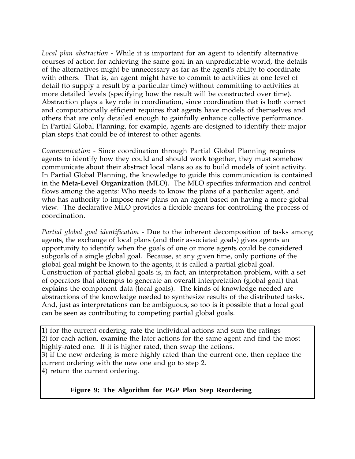*Local plan abstraction* - While it is important for an agent to identify alternative courses of action for achieving the same goal in an unpredictable world, the details of the alternatives might be unnecessary as far as the agent's ability to coordinate with others. That is, an agent might have to commit to activities at one level of detail (to supply a result by a particular time) without committing to activities at more detailed levels (specifying how the result will be constructed over time). Abstraction plays a key role in coordination, since coordination that is both correct and computationally efficient requires that agents have models of themselves and others that are only detailed enough to gainfully enhance collective performance. In Partial Global Planning, for example, agents are designed to identify their major plan steps that could be of interest to other agents.

*Communication* - Since coordination through Partial Global Planning requires agents to identify how they could and should work together, they must somehow communicate about their abstract local plans so as to build models of joint activity. In Partial Global Planning, the knowledge to guide this communication is contained in the **Meta-Level Organization** (MLO). The MLO specifies information and control flows among the agents: Who needs to know the plans of a particular agent, and who has authority to impose new plans on an agent based on having a more global view. The declarative MLO provides a flexible means for controlling the process of coordination.

*Partial global goal identification* - Due to the inherent decomposition of tasks among agents, the exchange of local plans (and their associated goals) gives agents an opportunity to identify when the goals of one or more agents could be considered subgoals of a single global goal. Because, at any given time, only portions of the global goal might be known to the agents, it is called a partial global goal. Construction of partial global goals is, in fact, an interpretation problem, with a set of operators that attempts to generate an overall interpretation (global goal) that explains the component data (local goals). The kinds of knowledge needed are abstractions of the knowledge needed to synthesize results of the distributed tasks. And, just as interpretations can be ambiguous, so too is it possible that a local goal can be seen as contributing to competing partial global goals.

1) for the current ordering, rate the individual actions and sum the ratings 2) for each action, examine the later actions for the same agent and find the most highly-rated one. If it is higher rated, then swap the actions. 3) if the new ordering is more highly rated than the current one, then replace the current ordering with the new one and go to step 2. 4) return the current ordering.

**Figure 9: The Algorithm for PGP Plan Step Reordering**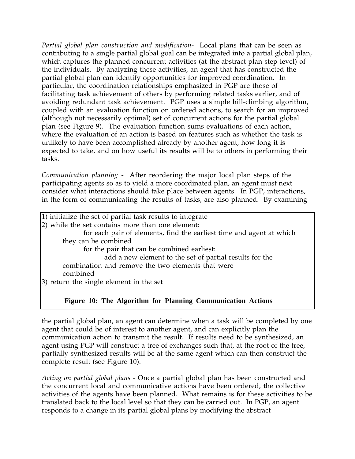*Partial global plan construction and modification-* Local plans that can be seen as contributing to a single partial global goal can be integrated into a partial global plan, which captures the planned concurrent activities (at the abstract plan step level) of the individuals. By analyzing these activities, an agent that has constructed the partial global plan can identify opportunities for improved coordination. In particular, the coordination relationships emphasized in PGP are those of facilitating task achievement of others by performing related tasks earlier, and of avoiding redundant task achievement. PGP uses a simple hill-climbing algorithm, coupled with an evaluation function on ordered actions, to search for an improved (although not necessarily optimal) set of concurrent actions for the partial global plan (see Figure 9). The evaluation function sums evaluations of each action, where the evaluation of an action is based on features such as whether the task is unlikely to have been accomplished already by another agent, how long it is expected to take, and on how useful its results will be to others in performing their tasks.

*Communication planning -* After reordering the major local plan steps of the participating agents so as to yield a more coordinated plan, an agent must next consider what interactions should take place between agents. In PGP, interactions, in the form of communicating the results of tasks, are also planned. By examining

1) initialize the set of partial task results to integrate 2) while the set contains more than one element: for each pair of elements, find the earliest time and agent at which they can be combined for the pair that can be combined earliest: add a new element to the set of partial results for the combination and remove the two elements that were combined 3) return the single element in the set

#### **Figure 10: The Algorithm for Planning Communication Actions**

the partial global plan, an agent can determine when a task will be completed by one agent that could be of interest to another agent, and can explicitly plan the communication action to transmit the result. If results need to be synthesized, an agent using PGP will construct a tree of exchanges such that, at the root of the tree, partially synthesized results will be at the same agent which can then construct the complete result (see Figure 10).

*Acting on partial global plans* - Once a partial global plan has been constructed and the concurrent local and communicative actions have been ordered, the collective activities of the agents have been planned. What remains is for these activities to be translated back to the local level so that they can be carried out. In PGP, an agent responds to a change in its partial global plans by modifying the abstract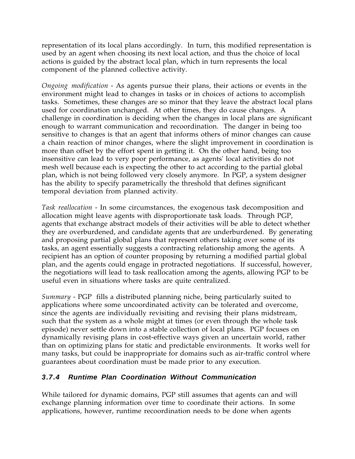representation of its local plans accordingly. In turn, this modified representation is used by an agent when choosing its next local action, and thus the choice of local actions is guided by the abstract local plan, which in turn represents the local component of the planned collective activity.

*Ongoing modification* - As agents pursue their plans, their actions or events in the environment might lead to changes in tasks or in choices of actions to accomplish tasks. Sometimes, these changes are so minor that they leave the abstract local plans used for coordination unchanged. At other times, they do cause changes. A challenge in coordination is deciding when the changes in local plans are significant enough to warrant communication and recoordination. The danger in being too sensitive to changes is that an agent that informs others of minor changes can cause a chain reaction of minor changes, where the slight improvement in coordination is more than offset by the effort spent in getting it. On the other hand, being too insensitive can lead to very poor performance, as agents' local activities do not mesh well because each is expecting the other to act according to the partial global plan, which is not being followed very closely anymore. In PGP, a system designer has the ability to specify parametrically the threshold that defines significant temporal deviation from planned activity.

*Task reallocation* - In some circumstances, the exogenous task decomposition and allocation might leave agents with disproportionate task loads. Through PGP, agents that exchange abstract models of their activities will be able to detect whether they are overburdened, and candidate agents that are underburdened. By generating and proposing partial global plans that represent others taking over some of its tasks, an agent essentially suggests a contracting relationship among the agents. A recipient has an option of counter proposing by returning a modified partial global plan, and the agents could engage in protracted negotiations. If successful, however, the negotiations will lead to task reallocation among the agents, allowing PGP to be useful even in situations where tasks are quite centralized.

*Summary* - PGP fills a distributed planning niche, being particularly suited to applications where some uncoordinated activity can be tolerated and overcome, since the agents are individually revisiting and revising their plans midstream, such that the system as a whole might at times (or even through the whole task episode) never settle down into a stable collection of local plans. PGP focuses on dynamically revising plans in cost-effective ways given an uncertain world, rather than on optimizing plans for static and predictable environments. It works well for many tasks, but could be inappropriate for domains such as air-traffic control where guarantees about coordination must be made prior to any execution.

## **3.7.4 Runtime Plan Coordination Without Communication**

While tailored for dynamic domains, PGP still assumes that agents can and will exchange planning information over time to coordinate their actions. In some applications, however, runtime recoordination needs to be done when agents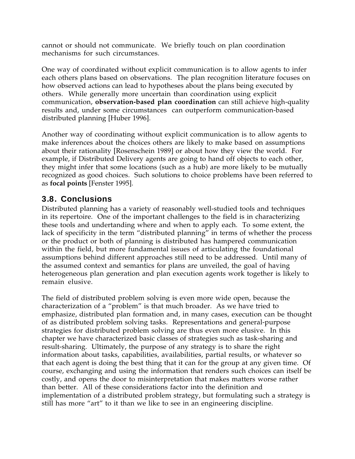cannot or should not communicate. We briefly touch on plan coordination mechanisms for such circumstances.

One way of coordinated without explicit communication is to allow agents to infer each others plans based on observations. The plan recognition literature focuses on how observed actions can lead to hypotheses about the plans being executed by others. While generally more uncertain than coordination using explicit communication, **observation-based plan coordination** can still achieve high-quality results and, under some circumstances can outperform communication-based distributed planning [Huber 1996].

Another way of coordinating without explicit communication is to allow agents to make inferences about the choices others are likely to make based on assumptions about their rationality [Rosenschein 1989] or about how they view the world. For example, if Distributed Delivery agents are going to hand off objects to each other, they might infer that some locations (such as a hub) are more likely to be mutually recognized as good choices. Such solutions to choice problems have been referred to as **focal points** [Fenster 1995].

# **3.8. Conclusions**

Distributed planning has a variety of reasonably well-studied tools and techniques in its repertoire. One of the important challenges to the field is in characterizing these tools and undertanding where and when to apply each. To some extent, the lack of specificity in the term "distributed planning" in terms of whether the process or the product or both of planning is distributed has hampered communication within the field, but more fundamental issues of articulating the foundational assumptions behind different approaches still need to be addressed. Until many of the assumed context and semantics for plans are unveiled, the goal of having heterogeneous plan generation and plan execution agents work together is likely to remain elusive.

The field of distributed problem solving is even more wide open, because the characterization of a "problem" is that much broader. As we have tried to emphasize, distributed plan formation and, in many cases, execution can be thought of as distributed problem solving tasks. Representations and general-purpose strategies for distributed problem solving are thus even more elusive. In this chapter we have characterized basic classes of strategies such as task-sharing and result-sharing. Ultimately, the purpose of any strategy is to share the right information about tasks, capabilities, availabilities, partial results, or whatever so that each agent is doing the best thing that it can for the group at any given time. Of course, exchanging and using the information that renders such choices can itself be costly, and opens the door to misinterpretation that makes matters worse rather than better. All of these considerations factor into the definition and implementation of a distributed problem strategy, but formulating such a strategy is still has more "art" to it than we like to see in an engineering discipline.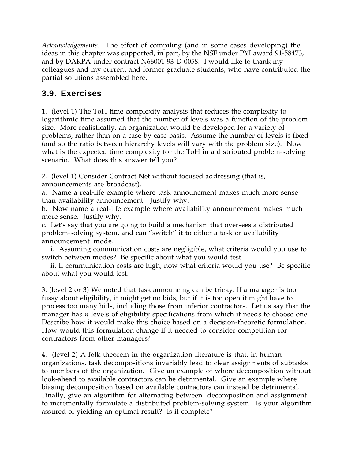*Acknowledgements:* The effort of compiling (and in some cases developing) the ideas in this chapter was supported, in part, by the NSF under PYI award 91-58473, and by DARPA under contract N66001-93-D-0058. I would like to thank my colleagues and my current and former graduate students, who have contributed the partial solutions assembled here.

# **3.9. Exercises**

1. (level 1) The ToH time complexity analysis that reduces the complexity to logarithmic time assumed that the number of levels was a function of the problem size. More realistically, an organization would be developed for a variety of problems, rather than on a case-by-case basis. Assume the number of levels is fixed (and so the ratio between hierarchy levels will vary with the problem size). Now what is the expected time complexity for the ToH in a distributed problem-solving scenario. What does this answer tell you?

2. (level 1) Consider Contract Net without focused addressing (that is, announcements are broadcast).

a. Name a real-life example where task announcment makes much more sense than availability announcement. Justify why.

b. Now name a real-life example where availability announcement makes much more sense. Justify why.

c. Let's say that you are going to build a mechanism that oversees a distributed problem-solving system, and can "switch" it to either a task or availability announcement mode.

 i. Assuming communication costs are negligible, what criteria would you use to switch between modes? Be specific about what you would test.

 ii. If communication costs are high, now what criteria would you use? Be specific about what you would test.

3. (level 2 or 3) We noted that task announcing can be tricky: If a manager is too fussy about eligibility, it might get no bids, but if it is too open it might have to process too many bids, including those from inferior contractors. Let us say that the manager has *n* levels of eligibility specifications from which it needs to choose one. Describe how it would make this choice based on a decision-theoretic formulation. How would this formulation change if it needed to consider competition for contractors from other managers?

4. (level 2) A folk theorem in the organization literature is that, in human organizations, task decompositions invariably lead to clear assignments of subtasks to members of the organization. Give an example of where decomposition without look-ahead to available contractors can be detrimental. Give an example where biasing decomposition based on available contractors can instead be detrimental. Finally, give an algorithm for alternating between decomposition and assignment to incrementally formulate a distributed problem-solving system. Is your algorithm assured of yielding an optimal result? Is it complete?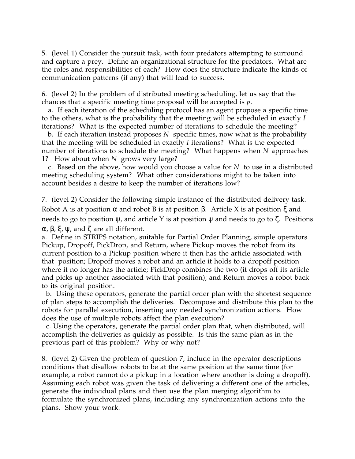5. (level 1) Consider the pursuit task, with four predators attempting to surround and capture a prey. Define an organizational structure for the predators. What are the roles and responsibilities of each? How does the structure indicate the kinds of communication patterns (if any) that will lead to success.

6. (level 2) In the problem of distributed meeting scheduling, let us say that the chances that a specific meeting time proposal will be accepted is *p*.

 a. If each iteration of the scheduling protocol has an agent propose a specific time to the others, what is the probability that the meeting will be scheduled in exactly *<sup>I</sup>* iterations? What is the expected number of iterations to schedule the meeting?

 b. If each iteration instead proposes *<sup>N</sup>* specific times, now what is the probability that the meeting will be scheduled in exactly *I* iterations? What is the expected number of iterations to schedule the meeting? What happens when *<sup>N</sup>* approaches 1? How about when *N* grows very large?

 c. Based on the above, how would you choose a value for *N* to use in a distributed meeting scheduling system? What other considerations might to be taken into account besides a desire to keep the number of iterations low?

7. (level 2) Consider the following simple instance of the distributed delivery task. Robot A is at position  $\alpha$  and robot B is at position β. Article X is at position  $\xi$  and needs to go to position  $\psi$ , and article Y is at position  $\psi$  and needs to go to  $\zeta$ . Positions α, β, ξ, ψ, and ζ are all different.

a. Define in STRIPS notation, suitable for Partial Order Planning, simple operators Pickup, Dropoff, PickDrop, and Return, where Pickup moves the robot from its current position to a Pickup position where it then has the article associated with that position; Dropoff moves a robot and an article it holds to a dropoff position where it no longer has the article; PickDrop combines the two (it drops off its article and picks up another associated with that position); and Return moves a robot back to its original position.

 b. Using these operators, generate the partial order plan with the shortest sequence of plan steps to accomplish the deliveries. Decompose and distribute this plan to the robots for parallel execution, inserting any needed synchronization actions. How does the use of multiple robots affect the plan execution?

 c. Using the operators, generate the partial order plan that, when distributed, will accomplish the deliveries as quickly as possible. Is this the same plan as in the previous part of this problem? Why or why not?

8. (level 2) Given the problem of question 7, include in the operator descriptions conditions that disallow robots to be at the same position at the same time (for example, a robot cannot do a pickup in a location where another is doing a dropoff). Assuming each robot was given the task of delivering a different one of the articles, generate the individual plans and then use the plan merging algorithm to formulate the synchronized plans, including any synchronization actions into the plans. Show your work.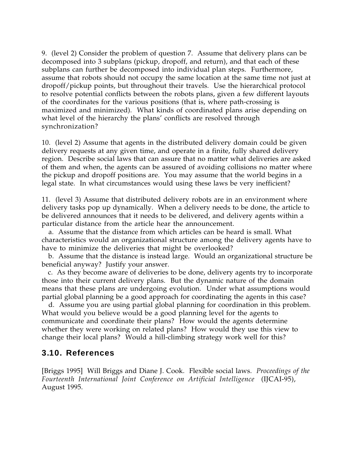9. (level 2) Consider the problem of question 7. Assume that delivery plans can be decomposed into 3 subplans (pickup, dropoff, and return), and that each of these subplans can further be decomposed into individual plan steps. Furthermore, assume that robots should not occupy the same location at the same time not just at dropoff/pickup points, but throughout their travels. Use the hierarchical protocol to resolve potential conflicts between the robots plans, given a few different layouts of the coordinates for the various positions (that is, where path-crossing is maximized and minimized). What kinds of coordinated plans arise depending on what level of the hierarchy the plans' conflicts are resolved through synchronization?

10. (level 2) Assume that agents in the distributed delivery domain could be given delivery requests at any given time, and operate in a finite, fully shared delivery region. Describe social laws that can assure that no matter what deliveries are asked of them and when, the agents can be assured of avoiding collisions no matter where the pickup and dropoff positions are. You may assume that the world begins in a legal state. In what circumstances would using these laws be very inefficient?

11. (level 3) Assume that distributed delivery robots are in an environment where delivery tasks pop up dynamically. When a delivery needs to be done, the article to be delivered announces that it needs to be delivered, and delivery agents within a particular distance from the article hear the announcement.

 a. Assume that the distance from which articles can be heard is small. What characteristics would an organizational structure among the delivery agents have to have to minimize the deliveries that might be overlooked?

 b. Assume that the distance is instead large. Would an organizational structure be beneficial anyway? Justify your answer.

 c. As they become aware of deliveries to be done, delivery agents try to incorporate those into their current delivery plans. But the dynamic nature of the domain means that these plans are undergoing evolution. Under what assumptions would partial global planning be a good approach for coordinating the agents in this case?

 d. Assume you are using partial global planning for coordination in this problem. What would you believe would be a good planning level for the agents to communicate and coordinate their plans? How would the agents determine whether they were working on related plans? How would they use this view to change their local plans? Would a hill-climbing strategy work well for this?

#### **3.10. References**

[Briggs 1995] Will Briggs and Diane J. Cook. Flexible social laws. *Proceedings of the Fourteenth International Joint Conference on Artificial Intelligence* (IJCAI-95), August 1995.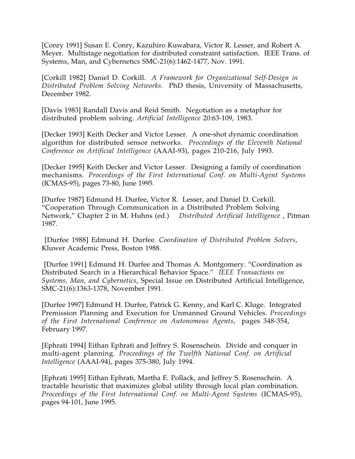[Conry 1991] Susan E. Conry, Kazuhiro Kuwabara, Victor R. Lesser, and Robert A. Meyer. Multistage negotiation for distributed constraint satisfaction. IEEE Trans. of Systems, Man, and Cybernetics SMC-21(6):1462-1477, Nov. 1991.

[Corkill 1982] Daniel D. Corkill. *A Framework for Organizational Self-Design in Distributed Problem Solving Networks.* PhD thesis, University of Massachusetts, December 1982.

[Davis 1983] Randall Davis and Reid Smith. Negotiation as a metaphor for distributed problem solving. *Artificial Intelligence* 20:63-109, 1983.

[Decker 1993] Keith Decker and Victor Lesser. A one-shot dynamic coordination algorithm for distributed sensor networks. *Proceedings of the Eleventh National Conference on Artificial Intelligence* (AAAI-93), pages 210-216, July 1993.

[Decker 1995] Keith Decker and Victor Lesser. Designing a family of coordination mechanisms. *Proceedings of the First International Conf. on Multi-Agent Systems* (ICMAS-95), pages 73-80, June 1995.

[Durfee 1987] Edmund H. Durfee, Victor R. Lesser, and Daniel D. Corkill. "Cooperation Through Communication in a Distributed Problem Solving Network," Chapter 2 in M. Huhns (ed.) *Distributed Artificial Intelligence* , Pitman 1987.

 [Durfee 1988] Edmund H. Durfee. *Coordination of Distributed Problem Solvers*, Kluwer Academic Press, Boston 1988.

 [Durfee 1991] Edmund H. Durfee and Thomas A. Montgomery. "Coordination as Distributed Search in a Hierarchical Behavior Space." *IEEE Transactions on Systems, Man, and Cybernetics*, Special Issue on Distributed Artificial Intelligence, SMC-21(6):1363-1378, November 1991.

[Durfee 1997] Edmund H. Durfee, Patrick G. Kenny, and Karl C. Kluge. Integrated Premission Planning and Execution for Unmanned Ground Vehicles. *Proceedings of the First International Conference on Autonomous Agents*, pages 348-354, February 1997.

[Ephrati 1994] Eithan Ephrati and Jeffrey S. Rosenschein. Divide and conquer in multi-agent planning. *Proceedings of the Twelfth National Conf. on Artificial Intelligence* (AAAI-94), pages 375-380, July 1994.

[Ephrati 1995] Eithan Ephrati, Martha E. Pollack, and Jeffrey S. Rosenschein. A tractable heuristic that maximizes global utility through local plan combination. *Proceedings of the First International Conf. on Multi-Agent Systems* (ICMAS-95), pages 94-101, June 1995.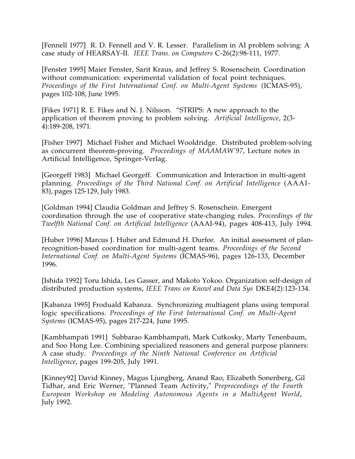[Fennell 1977] R. D. Fennell and V. R. Lesser. Parallelism in AI problem solving: A case study of HEARSAY-II*. IEEE Trans. on Computers* C-26(2):98-111, 1977.

[Fenster 1995] Maier Fenster, Sarit Kraus, and Jeffrey S. Rosenschein. Coordination without communication: experimental validation of focal point techniques. *Proceedings of the First International Conf. on Multi-Agent Systems* (ICMAS-95), pages 102-108, June 1995.

[Fikes 1971] R. E. Fikes and N. J. Nilsson. "STRIPS: A new approach to the application of theorem proving to problem solving. *Artificial Intelligence*, 2(3- 4):189-208, 1971.

[Fisher 1997] Michael Fisher and Michael Wooldridge. Distributed problem-solving as concurrent theorem-proving. *Proceedings of MAAMAW'97*, Lecture notes in Artificial Intelligence, Springer-Verlag.

[Georgeff 1983] Michael Georgeff. Communication and Interaction in multi-agent planning. *Proceedings of the Third National Conf. on Artificial Intelligence* (AAAI-83), pages 125-129, July 1983.

[Goldman 1994] Claudia Goldman and Jeffrey S. Rosenschein. Emergent coordination through the use of cooperative state-changing rules. *Proceedings of the Twelfth National Conf. on Artificial Intelligence* (AAAI-94), pages 408-413, July 1994.

[Huber 1996] Marcus J. Huber and Edmund H. Durfee. An initial assessment of planrecognition-based coordination for multi-agent teams. *Proceedings of the Second International Conf. on Multi-Agent Systems* (ICMAS-96), pages 126-133, December 1996.

[Ishida 1992] Toru Ishida, Les Gasser, and Makoto Yokoo. Organization self-design of distributed production systems, *IEEE Trans on Knowl and Data Sys* DKE4(2):123-134.

[Kabanza 1995] Froduald Kabanza. Synchronizing multiagent plans using temporal logic specifications. *Proceedings of the First International Conf. on Multi-Agent Systems* (ICMAS-95), pages 217-224, June 1995.

[Kambhampati 1991] Subbarao Kambhampati, Mark Cutkosky, Marty Tenenbaum, and Soo Hong Lee. Combining specialized reasoners and general purpose planners: A case study. *Proceedings of the Ninth National Conference on Artificial Intelligence*, pages 199-205, July 1991.

[Kinney92] David Kinney, Magus Ljungberg, Anand Rao, Elizabeth Sonenberg, Gil Tidhar, and Eric Werner, "Planned Team Activity," *Preproceedings of the Fourth European Workshop on Modeling Autonomous Agents in a MultiAgent World*, July 1992.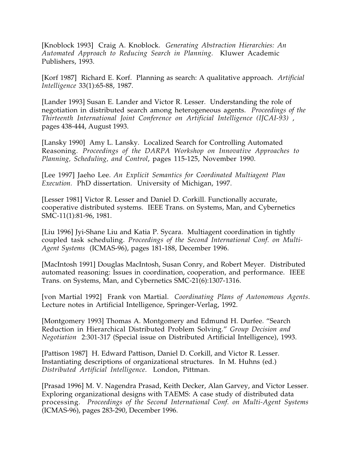[Knoblock 1993] Craig A. Knoblock. *Generating Abstraction Hierarchies: An Automated Approach to Reducing Search in Planning.* Kluwer Academic Publishers, 1993.

[Korf 1987] Richard E. Korf. Planning as search: A qualitative approach. *Artificial Intelligence* 33(1):65-88, 1987.

[Lander 1993] Susan E. Lander and Victor R. Lesser. Understanding the role of negotiation in distributed search among heterogeneous agents. *Proceedings of the Thirteenth International Joint Conference on Artificial Intelligence (IJCAI-93)* , pages 438-444, August 1993.

[Lansky 1990] Amy L. Lansky. Localized Search for Controlling Automated Reasoning. *Proceedings of the DARPA Workshop on Innovative Approaches to Planning, Scheduling, and Control*, pages 115-125, November 1990.

[Lee 1997] Jaeho Lee. *An Explicit Semantics for Coordinated Multiagent Plan Execution.* PhD dissertation. University of Michigan, 1997.

[Lesser 1981] Victor R. Lesser and Daniel D. Corkill. Functionally accurate, cooperative distributed systems. IEEE Trans. on Systems, Man, and Cybernetics SMC-11(1):81-96, 1981.

[Liu 1996] Jyi-Shane Liu and Katia P. Sycara. Multiagent coordination in tightly coupled task scheduling. *Proceedings of the Second International Conf. on Multi-Agent Systems* (ICMAS-96), pages 181-188, December 1996.

[MacIntosh 1991] Douglas MacIntosh, Susan Conry, and Robert Meyer. Distributed automated reasoning: Issues in coordination, cooperation, and performance. IEEE Trans. on Systems, Man, and Cybernetics SMC-21(6):1307-1316.

[von Martial 1992] Frank von Martial. *Coordinating Plans of Autonomous Agents*. Lecture notes in Artificial Intelligence, Springer-Verlag, 1992.

[Montgomery 1993] Thomas A. Montgomery and Edmund H. Durfee. "Search Reduction in Hierarchical Distributed Problem Solving." *Group Decision and Negotiation* 2:301-317 (Special issue on Distributed Artificial Intelligence), 1993.

[Pattison 1987] H. Edward Pattison, Daniel D. Corkill, and Victor R. Lesser. Instantiating descriptions of organizational structures. In M. Huhns (ed.) *Distributed Artificial Intelligence*. London, Pittman.

[Prasad 1996] M. V. Nagendra Prasad, Keith Decker, Alan Garvey, and Victor Lesser. Exploring organizational designs with TAEMS: A case study of distributed data processing*. Proceedings of the Second International Conf. on Multi-Agent Systems* (ICMAS-96), pages 283-290, December 1996.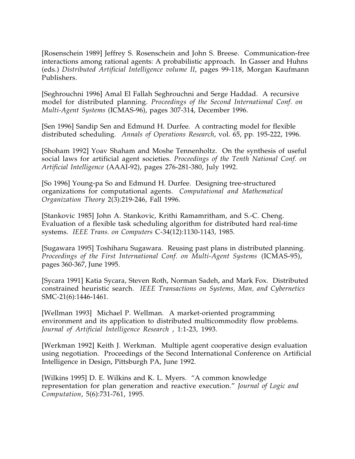[Rosenschein 1989] Jeffrey S. Rosenschein and John S. Breese. Communication-free interactions among rational agents: A probabilistic approach. In Gasser and Huhns (eds.) *Distributed Artificial Intelligence volume II*, pages 99-118, Morgan Kaufmann Publishers.

[Seghrouchni 1996] Amal El Fallah Seghrouchni and Serge Haddad. A recursive model for distributed planning. *Proceedings of the Second International Conf. on Multi-Agent Systems* (ICMAS-96), pages 307-314, December 1996.

[Sen 1996] Sandip Sen and Edmund H. Durfee. A contracting model for flexible distributed scheduling. *Annals of Operations Research*, vol. 65, pp. 195-222, 1996.

[Shoham 1992] Yoav Shaham and Moshe Tennenholtz. On the synthesis of useful social laws for artificial agent societies. *Proceedings of the Tenth National Conf. on Artificial Intelligence* (AAAI-92), pages 276-281-380, July 1992.

[So 1996] Young-pa So and Edmund H. Durfee. Designing tree-structured organizations for computational agents. *Computational and Mathematical Organization Theory* 2(3):219-246, Fall 1996.

[Stankovic 1985] John A. Stankovic, Krithi Ramamritham, and S.-C. Cheng. Evaluation of a flexible task scheduling algorithm for distributed hard real-time systems. *IEEE Trans. on Computers* C-34(12):1130-1143, 1985.

[Sugawara 1995] Toshiharu Sugawara. Reusing past plans in distributed planning. *Proceedings of the First International Conf. on Multi-Agent Systems* (ICMAS-95), pages 360-367, June 1995.

[Sycara 1991] Katia Sycara, Steven Roth, Norman Sadeh, and Mark Fox. Distributed constrained heuristic search. *IEEE Transactions on Systems, Man, and Cybernetics* SMC-21(6):1446-1461.

[Wellman 1993] Michael P. Wellman. A market-oriented programming environment and its application to distributed multicommodity flow problems. *Journal of Artificial Intelligence Research* , 1:1-23, 1993.

[Werkman 1992] Keith J. Werkman. Multiple agent cooperative design evaluation using negotiation. Proceedings of the Second International Conference on Artificial Intelligence in Design, Pittsburgh PA, June 1992.

[Wilkins 1995] D. E. Wilkins and K. L. Myers. "A common knowledge representation for plan generation and reactive execution." *Journal of Logic and Computation*, 5(6):731-761, 1995.